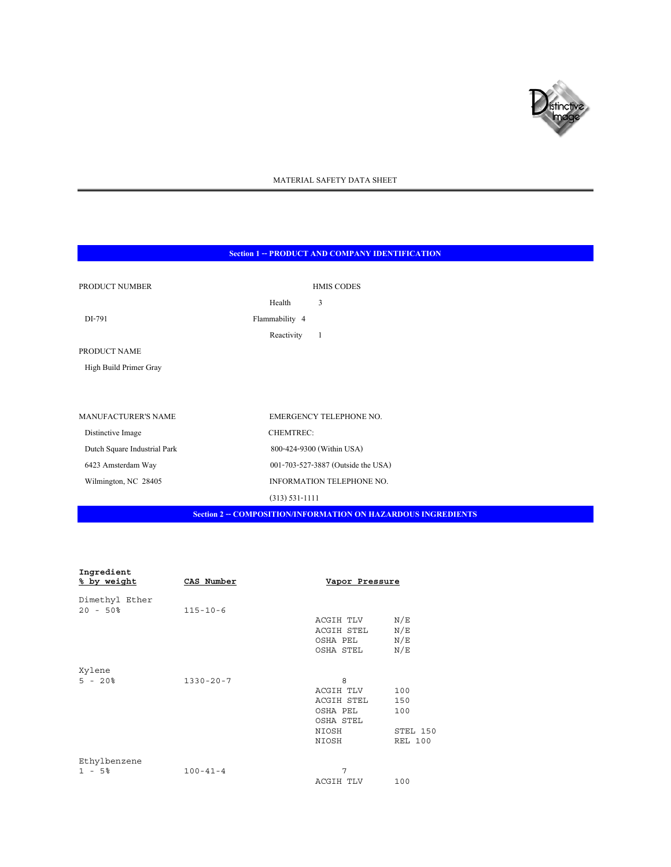

# MATERIAL SAFETY DATA SHEET

# **Section 1 -- PRODUCT AND COMPANY IDENTIFICATION**

| PRODUCT NUMBER               | <b>HMIS CODES</b>                                                    |  |
|------------------------------|----------------------------------------------------------------------|--|
|                              | 3<br>Health                                                          |  |
| DI-791                       | Flammability 4                                                       |  |
|                              | Reactivity<br>-1                                                     |  |
| PRODUCT NAME                 |                                                                      |  |
| High Build Primer Gray       |                                                                      |  |
|                              |                                                                      |  |
|                              |                                                                      |  |
| <b>MANUFACTURER'S NAME</b>   | EMERGENCY TELEPHONE NO.                                              |  |
| Distinctive Image            | <b>CHEMTREC:</b>                                                     |  |
| Dutch Square Industrial Park | 800-424-9300 (Within USA)                                            |  |
| 6423 Amsterdam Way           | 001-703-527-3887 (Outside the USA)                                   |  |
| Wilmington, NC 28405         | INFORMATION TELEPHONE NO.                                            |  |
|                              | $(313) 531 - 1111$                                                   |  |
|                              | <b>Section 2 -- COMPOSITION/INFORMATION ON HAZARDOUS INGREDIENTS</b> |  |

| Ingredient<br>% by weight | CAS Number      | Vapor Pressure |                |
|---------------------------|-----------------|----------------|----------------|
| Dimethyl Ether            |                 |                |                |
| $20 - 50\%$               | $115 - 10 - 6$  |                |                |
|                           |                 | ACGIH TLV      | N/E            |
|                           |                 | ACGIH STEL     | N/E            |
|                           |                 | OSHA PEL       | N/E            |
|                           |                 | OSHA STEL      | N/E            |
| Xylene                    |                 |                |                |
| $5 - 20$                  | $1330 - 20 - 7$ | 8              |                |
|                           |                 | ACGIH TLV      | 100            |
|                           |                 | ACGIH STEL     | 150            |
|                           |                 | OSHA PEL       | 100            |
|                           |                 | OSHA STEL      |                |
|                           |                 | NIOSH          | STEL 150       |
|                           |                 | NIOSH          | <b>REL 100</b> |
| Ethylbenzene              |                 |                |                |
| $1 - 5%$                  | $100 - 41 - 4$  | 7              |                |
|                           |                 | ACGIH TLV      | 100            |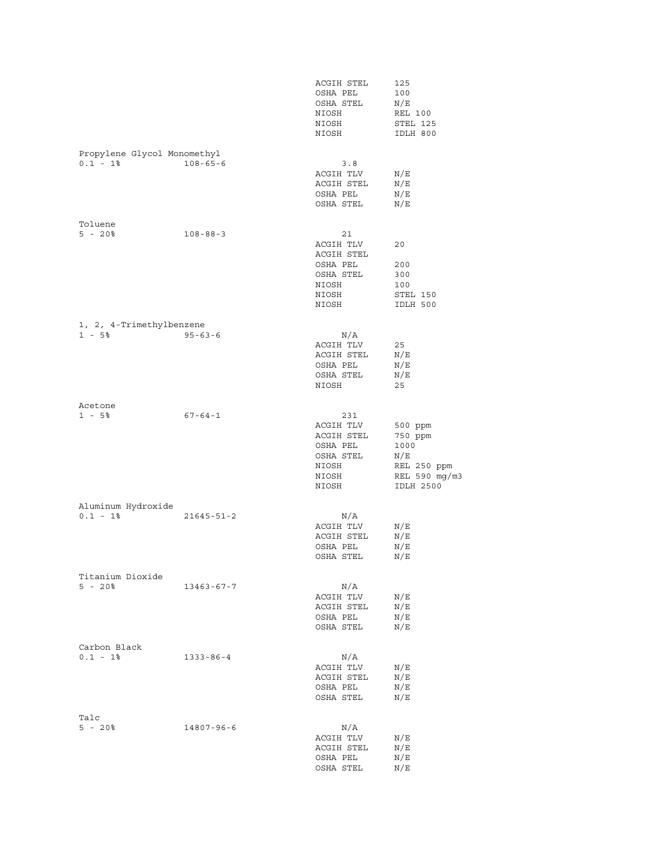|                                            |                  | ACGIH STEL<br>OSHA PEL<br>OSHA STEL<br>NIOSH<br>NIOSH<br>NIOSH                     | 125<br>100<br>N/E<br>REL 100<br>STEL 125<br>IDLH 800                                  |
|--------------------------------------------|------------------|------------------------------------------------------------------------------------|---------------------------------------------------------------------------------------|
| Propylene Glycol Monomethyl<br>$0.1 - 1$ % | $108 - 65 - 6$   | 3.8<br>ACGIH TLV<br>ACGIH STEL<br>OSHA PEL<br>OSHA STEL                            | N/E<br>N/E<br>N/E<br>N/E                                                              |
| Toluene<br>$5 - 20$                        | $108 - 88 - 3$   | 21<br>ACGIH TLV<br>ACGIH STEL<br>OSHA PEL<br>OSHA STEL<br>NIOSH<br>NIOSH<br>NIOSH  | 20<br>200<br>300<br>100<br>STEL 150<br>IDLH 500                                       |
| 1, 2, 4-Trimethylbenzene<br>$1 - 5$        | $95 - 63 - 6$    | $\rm N/A$<br>ACGIH TLV<br>ACGIH STEL<br>OSHA PEL<br>OSHA STEL<br>NIOSH             | 25<br>N/E<br>N/E<br>N/E<br>25                                                         |
| Acetone<br>$1 - 5$ $^{\circ}$              | $67 - 64 - 1$    | 231<br>ACGIH TLV<br>ACGIH STEL<br>OSHA PEL<br>OSHA STEL<br>NIOSH<br>NIOSH<br>NIOSH | 500 ppm<br>750 ppm<br>1000<br>N/E<br>REL 250 ppm<br>REL 590 mg/m3<br><b>IDLH 2500</b> |
| Aluminum Hydroxide<br>$0.1 - 1$ %          | $21645 - 51 - 2$ | $\rm N/A$<br>ACGIH TLV<br>ACGIH STEL<br>OSHA PEL<br>OSHA STEL                      | N/E<br>N/E<br>N/E<br>N/E                                                              |
| Titanium Dioxide<br>$5 - 20%$              | $13463 - 67 - 7$ | N/A<br>ACGIH TLV<br>ACGIH STEL<br>OSHA PEL<br>OSHA STEL                            | N/E<br>N/E<br>N/E<br>N/E                                                              |
| Carbon Black<br>$0.1 - 1$ %                | $1333 - 86 - 4$  | N/A<br>ACGIH TLV<br>ACGIH STEL<br>OSHA PEL<br>OSHA STEL                            | N/E<br>N/E<br>N/E<br>N/E                                                              |
| Talc<br>$5 - 20$                           | $14807 - 96 - 6$ | N/A<br>ACGIH TLV<br>ACGIH STEL<br>OSHA PEL<br>OSHA STEL                            | N/E<br>N/E<br>N/E<br>N/E                                                              |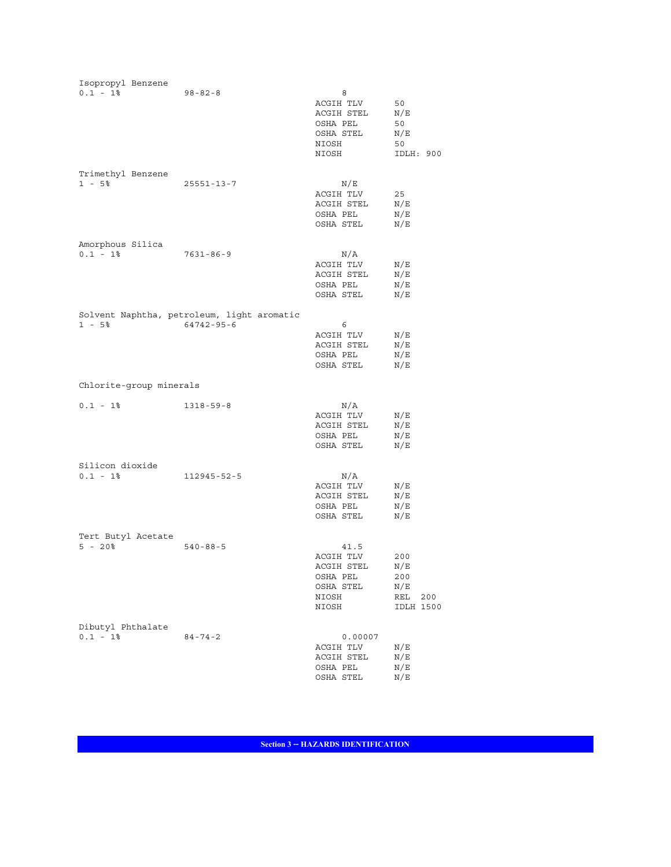| Isopropyl Benzene                |                                                                |                                                                            |                                                            |
|----------------------------------|----------------------------------------------------------------|----------------------------------------------------------------------------|------------------------------------------------------------|
| $0.1 - 1$ %                      | $98 - 82 - 8$                                                  | 8<br>ACGIH TLV<br>ACGIH STEL<br>OSHA PEL<br>OSHA STEL<br>NIOSH<br>NIOSH    | 50<br>N/E<br>50<br>N/E<br>50<br>IDLH: 900                  |
| Trimethyl Benzene<br>$1 - 5$     | $25551 - 13 - 7$                                               | N/E<br>ACGIH TLV<br>ACGIH STEL<br>OSHA PEL<br>OSHA STEL                    | 25<br>N/E<br>N/E<br>N/E                                    |
| Amorphous Silica<br>$0.1 - 1$ %  | $7631 - 86 - 9$                                                | $\rm N/A$<br>ACGIH TLV<br>ACGIH STEL<br>OSHA PEL<br>OSHA STEL              | N/E<br>N/E<br>N/E<br>N/E                                   |
| $1 - 5%$                         | Solvent Naphtha, petroleum, light aromatic<br>$64742 - 95 - 6$ | 6<br>ACGIH TLV<br>ACGIH STEL<br>OSHA PEL<br>OSHA STEL                      | N/E<br>N/E<br>N/E<br>N/E                                   |
| Chlorite-group minerals          |                                                                |                                                                            |                                                            |
| $0.1 - 1$ %                      | $1318 - 59 - 8$                                                | $\rm N/A$<br>ACGIH TLV<br>ACGIH STEL<br>OSHA PEL<br>OSHA STEL              | N/E<br>N/E<br>N/E<br>N/E                                   |
| Silicon dioxide<br>$0.1 - 1$ %   | 112945-52-5                                                    | N/A<br>ACGIH TLV<br>ACGIH STEL<br>OSHA PEL<br>OSHA STEL                    | N/E<br>N/E<br>N/E<br>N/E                                   |
| Tert Butyl Acetate<br>$5 - 20$   | $540 - 88 - 5$                                                 | 41.5<br>ACGIH TLV<br>ACGIH STEL<br>OSHA PEL<br>OSHA STEL<br>NIOSH<br>NIOSH | 200<br>N/E<br>200<br>N/E<br>REL<br>200<br><b>IDLH 1500</b> |
| Dibutyl Phthalate<br>$0.1 - 1$ % | $84 - 74 - 2$                                                  | 0.00007<br>ACGIH TLV<br>ACGIH STEL<br>OSHA PEL<br>OSHA STEL                | N/E<br>N/E<br>N/E<br>N/E                                   |

**Section 3 -- HAZARDS IDENTIFICATION**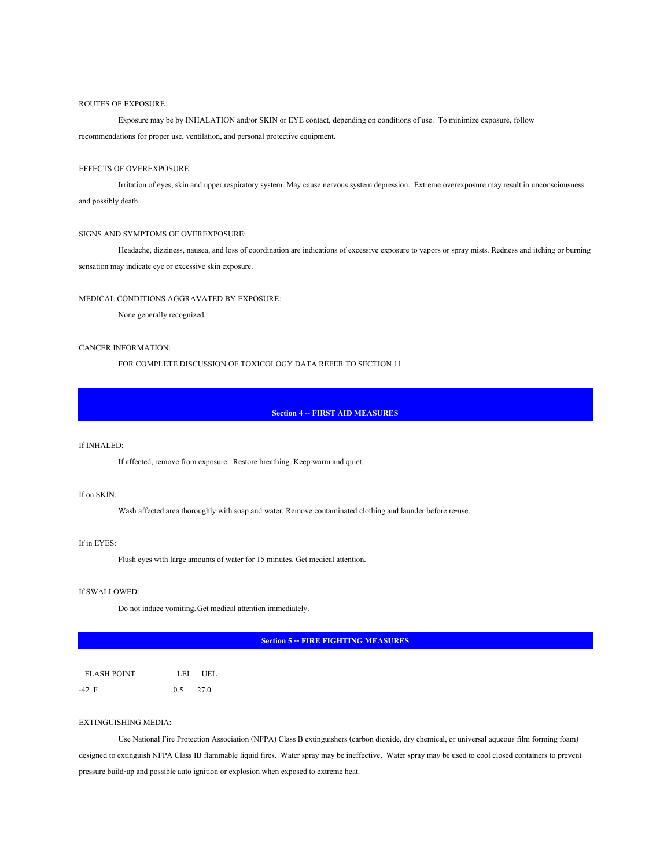#### ROUTES OF EXPOSURE:

 Exposure may be by INHALATION and/or SKIN or EYE contact, depending on conditions of use. To minimize exposure, follow recommendations for proper use, ventilation, and personal protective equipment.

# EFFECTS OF OVEREXPOSURE:

Irritation of eyes, skin and upper respiratory system. May cause nervous system depression. Extreme overexposure may result in unconsciousness and possibly death.

### SIGNS AND SYMPTOMS OF OVEREXPOSURE:

Headache, dizziness, nausea, and loss of coordination are indications of excessive exposure to vapors or spray mists. Redness and itching or burning sensation may indicate eye or excessive skin exposure.

## MEDICAL CONDITIONS AGGRAVATED BY EXPOSURE:

None generally recognized.

#### CANCER INFORMATION:

FOR COMPLETE DISCUSSION OF TOXICOLOGY DATA REFER TO SECTION 11.

## **Section 4 -- FIRST AID MEASURES**

#### If INHALED:

If affected, remove from exposure. Restore breathing. Keep warm and quiet.

# If on SKIN:

Wash affected area thoroughly with soap and water. Remove contaminated clothing and launder before re-use.

### If in EYES:

Flush eyes with large amounts of water for 15 minutes. Get medical attention.

#### If SWALLOWED:

Do not induce vomiting. Get medical attention immediately.

**Section 5 -- FIRE FIGHTING MEASURES** 

| <b>FLASH POINT</b> |            | LEL UEL |
|--------------------|------------|---------|
| -42 F              | $0.5$ 27.0 |         |

# EXTINGUISHING MEDIA:

Use National Fire Protection Association (NFPA) Class B extinguishers (carbon dioxide, dry chemical, or universal aqueous film forming foam) designed to extinguish NFPA Class IB flammable liquid fires. Water spray may be ineffective. Water spray may be used to cool closed containers to prevent pressure build-up and possible auto ignition or explosion when exposed to extreme heat.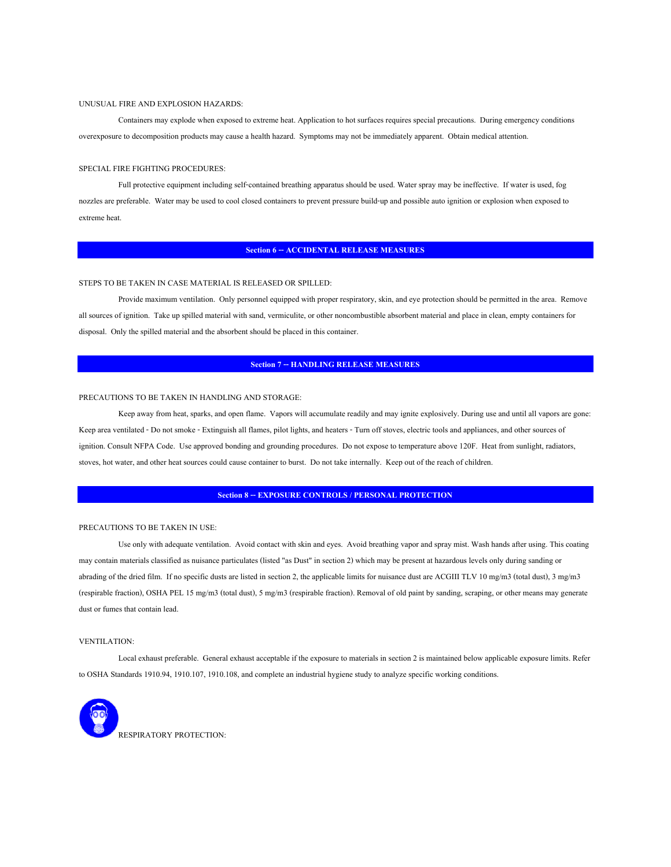#### UNUSUAL FIRE AND EXPLOSION HAZARDS:

Containers may explode when exposed to extreme heat. Application to hot surfaces requires special precautions. During emergency conditions overexposure to decomposition products may cause a health hazard. Symptoms may not be immediately apparent. Obtain medical attention.

#### SPECIAL FIRE FIGHTING PROCEDURES:

 Full protective equipment including self-contained breathing apparatus should be used. Water spray may be ineffective. If water is used, fog nozzles are preferable. Water may be used to cool closed containers to prevent pressure build-up and possible auto ignition or explosion when exposed to extreme heat.

#### **Section 6 -- ACCIDENTAL RELEASE MEASURES**

#### STEPS TO BE TAKEN IN CASE MATERIAL IS RELEASED OR SPILLED:

 Provide maximum ventilation. Only personnel equipped with proper respiratory, skin, and eye protection should be permitted in the area. Remove all sources of ignition. Take up spilled material with sand, vermiculite, or other noncombustible absorbent material and place in clean, empty containers for disposal. Only the spilled material and the absorbent should be placed in this container.

# **Section 7 -- HANDLING RELEASE MEASURES**

#### PRECAUTIONS TO BE TAKEN IN HANDLING AND STORAGE:

 Keep away from heat, sparks, and open flame. Vapors will accumulate readily and may ignite explosively. During use and until all vapors are gone: Keep area ventilated - Do not smoke - Extinguish all flames, pilot lights, and heaters - Turn off stoves, electric tools and appliances, and other sources of ignition. Consult NFPA Code. Use approved bonding and grounding procedures. Do not expose to temperature above 120F. Heat from sunlight, radiators, stoves, hot water, and other heat sources could cause container to burst. Do not take internally. Keep out of the reach of children.

# **Section 8 -- EXPOSURE CONTROLS / PERSONAL PROTECTION**

#### PRECAUTIONS TO BE TAKEN IN USE:

 Use only with adequate ventilation. Avoid contact with skin and eyes. Avoid breathing vapor and spray mist. Wash hands after using. This coating may contain materials classified as nuisance particulates (listed "as Dust" in section 2) which may be present at hazardous levels only during sanding or abrading of the dried film. If no specific dusts are listed in section 2, the applicable limits for nuisance dust are ACGIII TLV 10 mg/m3 (total dust), 3 mg/m3 (respirable fraction), OSHA PEL 15 mg/m3 (total dust), 5 mg/m3 (respirable fraction). Removal of old paint by sanding, scraping, or other means may generate dust or fumes that contain lead.

#### VENTILATION:

Local exhaust preferable. General exhaust acceptable if the exposure to materials in section 2 is maintained below applicable exposure limits. Refer to OSHA Standards 1910.94, 1910.107, 1910.108, and complete an industrial hygiene study to analyze specific working conditions.

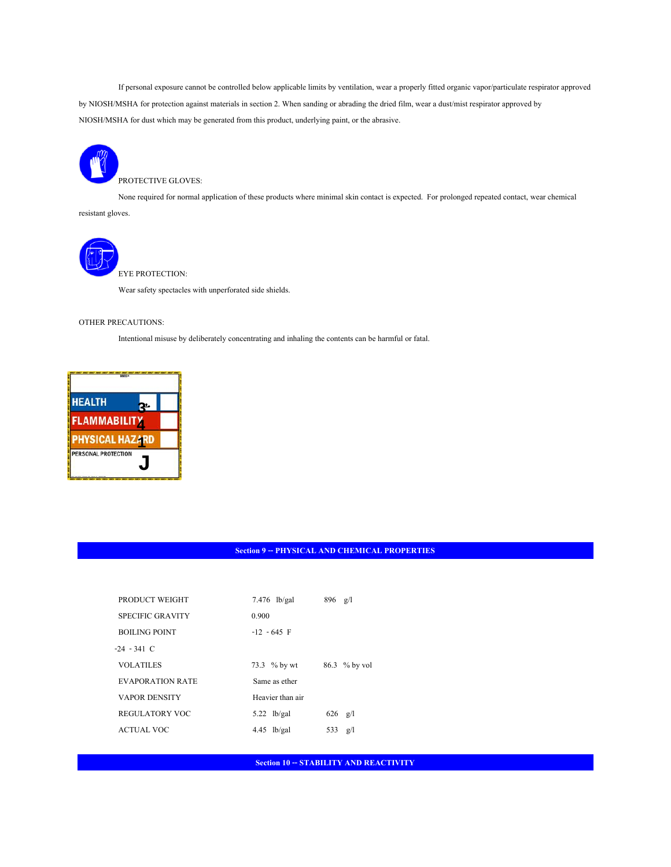If personal exposure cannot be controlled below applicable limits by ventilation, wear a properly fitted organic vapor/particulate respirator approved by NIOSH/MSHA for protection against materials in section 2. When sanding or abrading the dried film, wear a dust/mist respirator approved by NIOSH/MSHA for dust which may be generated from this product, underlying paint, or the abrasive.



None required for normal application of these products where minimal skin contact is expected. For prolonged repeated contact, wear chemical

resistant gloves.



EYE PROTECTION:

Wear safety spectacles with unperforated side shields.

# OTHER PRECAUTIONS:

Intentional misuse by deliberately concentrating and inhaling the contents can be harmful or fatal.



# **Section 9 -- PHYSICAL AND CHEMICAL PROPERTIES**

| PRODUCT WEIGHT          | $7.476$ lb/gal   | $896 \text{ g/l}$ |  |
|-------------------------|------------------|-------------------|--|
| <b>SPECIFIC GRAVITY</b> | 0.900            |                   |  |
| <b>BOILING POINT</b>    | $-12 - 645$ F    |                   |  |
| $-24 - 341$ C           |                  |                   |  |
| <b>VOLATILES</b>        | 73.3 % by wt     | 86.3 % by vol     |  |
| EVAPORATION RATE        | Same as ether    |                   |  |
| <b>VAPOR DENSITY</b>    | Heavier than air |                   |  |
| <b>REGULATORY VOC</b>   | $5.22$ lb/gal    | 626<br>g/l        |  |
| <b>ACTUAL VOC</b>       | $4.45$ lb/gal    | 533<br>g/1        |  |
|                         |                  |                   |  |

**Section 10 -- STABILITY AND REACTIVITY**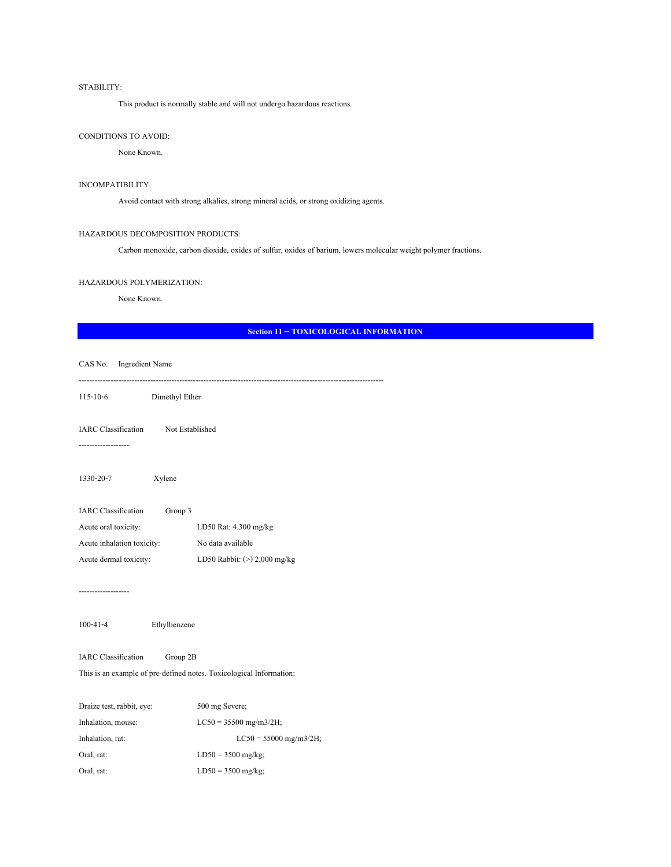# STABILITY:

This product is normally stable and will not undergo hazardous reactions.

# CONDITIONS TO AVOID:

None Known.

### INCOMPATIBILITY:

Avoid contact with strong alkalies, strong mineral acids, or strong oxidizing agents.

### HAZARDOUS DECOMPOSITION PRODUCTS:

Carbon monoxide, carbon dioxide, oxides of sulfur, oxides of barium, lowers molecular weight polymer fractions.

### HAZARDOUS POLYMERIZATION:

None Known.

# **Section 11 -- TOXICOLOGICAL INFORMATION**

| CAS No. Ingredient Name                                                                                       |                                |
|---------------------------------------------------------------------------------------------------------------|--------------------------------|
| Dimethyl Ether<br>$115 - 10 - 6$                                                                              |                                |
| IARC Classification Not Established<br>------------------                                                     |                                |
| 1330-20-7<br>Xylene                                                                                           |                                |
| IARC Classification Group 3                                                                                   |                                |
| Acute oral toxicity:                                                                                          | LD50 Rat: 4.300 mg/kg          |
| Acute inhalation toxicity:                                                                                    | No data available              |
| Acute dermal toxicity:                                                                                        | LD50 Rabbit: $(>)$ 2,000 mg/kg |
| -----------------                                                                                             |                                |
| $100 - 41 - 4$<br>Ethylbenzene                                                                                |                                |
| <b>IARC</b> Classification<br>Group 2B<br>This is an example of pre-defined notes. Toxicological Information: |                                |
| Draize test, rabbit, eye:                                                                                     | 500 mg Severe;                 |
| Inhalation, mouse:                                                                                            | $LC50 = 35500$ mg/m3/2H;       |
| Inhalation, rat:                                                                                              | $LC50 = 55000$ mg/m3/2H;       |
| Oral, rat:                                                                                                    | $LD50 = 3500$ mg/kg;           |
| Oral, rat:                                                                                                    | $LD50 = 3500$ mg/kg;           |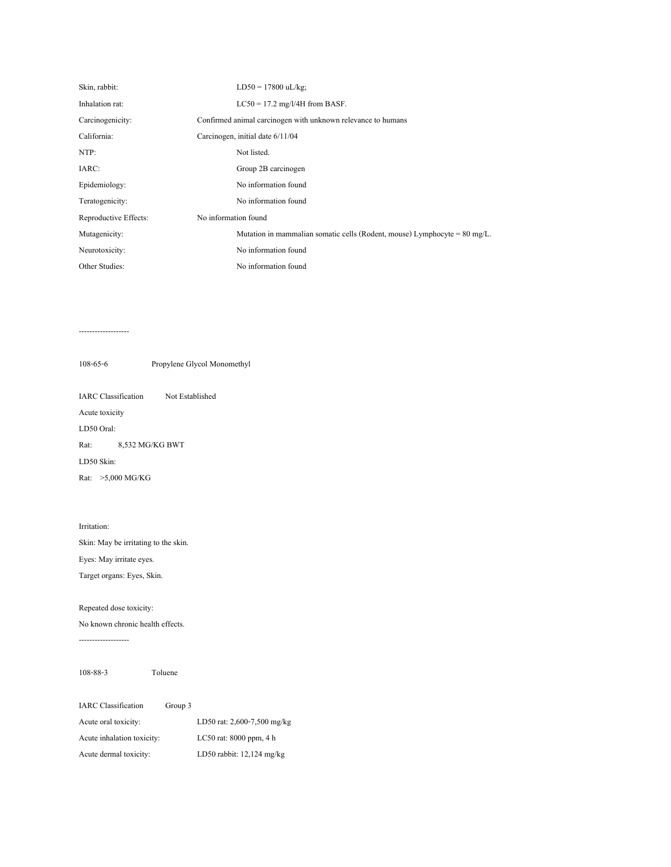| Skin, rabbit:         |                      | $LD50 = 17800$ uL/kg;                                                                |
|-----------------------|----------------------|--------------------------------------------------------------------------------------|
| Inhalation rat:       |                      | $LC50 = 17.2$ mg/l/4H from BASF.                                                     |
| Carcinogenicity:      |                      | Confirmed animal carcinogen with unknown relevance to humans                         |
| California:           |                      | Carcinogen, initial date $6/11/04$                                                   |
| NTP:                  |                      | Not listed.                                                                          |
| IARC:                 |                      | Group 2B carcinogen                                                                  |
| Epidemiology:         |                      | No information found                                                                 |
| Teratogenicity:       |                      | No information found                                                                 |
| Reproductive Effects: | No information found |                                                                                      |
| Mutagenicity:         |                      | Mutation in mammalian somatic cells (Rodent, mouse) Lymphocyte = $80 \text{ mg/L}$ . |
| Neurotoxicity:        |                      | No information found                                                                 |
| Other Studies:        |                      | No information found                                                                 |

#### -------------------

108-65-6 Propylene Glycol Monomethyl

IARC Classification Not Established Acute toxicity LD50 Oral: Rat: 8,532 MG/KG BWT LD50 Skin: Rat: >5,000 MG/KG

# Irritation:

Skin: May be irritating to the skin. Eyes: May irritate eyes.

Target organs: Eyes, Skin.

Repeated dose toxicity:

No known chronic health effects.

-------------------

108-88-3 Toluene

| <b>IARC</b> Classification | Group 3 |                             |
|----------------------------|---------|-----------------------------|
| Acute oral toxicity:       |         | LD50 rat: 2,600-7,500 mg/kg |
| Acute inhalation toxicity: |         | LC50 rat: $8000$ ppm, $4 h$ |
| Acute dermal toxicity:     |         | LD50 rabbit: $12,124$ mg/kg |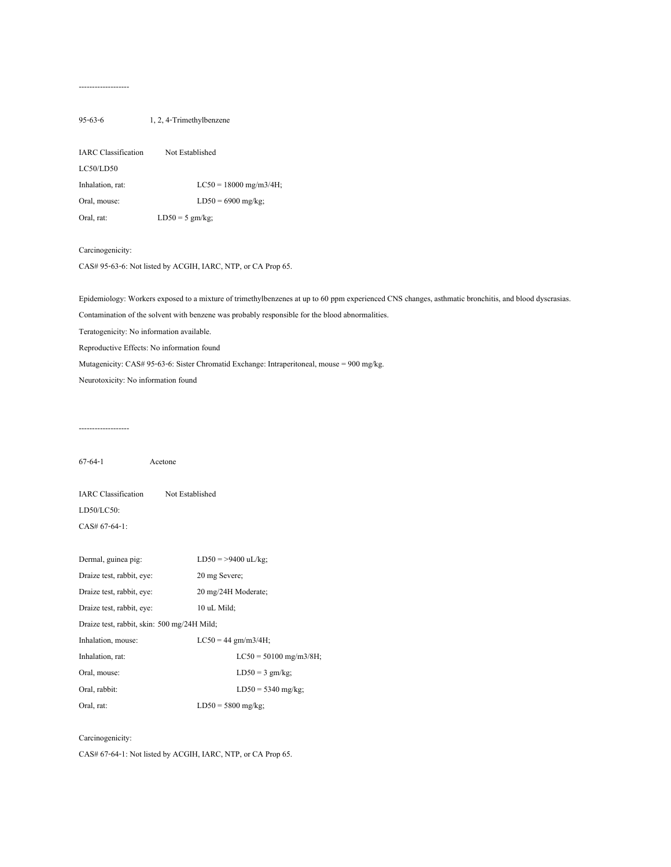#### -------------------

# 95-63-6 1, 2, 4-Trimethylbenzene

| <b>IARC</b> Classification | Not Established          |
|----------------------------|--------------------------|
| LC50/LD50                  |                          |
| Inhalation, rat:           | $LC50 = 18000$ mg/m3/4H; |
| Oral, mouse:               | $LD50 = 6900$ mg/kg;     |
| Oral, rat:                 | $LD50 = 5$ gm/kg;        |

#### Carcinogenicity:

CAS# 95-63-6: Not listed by ACGIH, IARC, NTP, or CA Prop 65.

Epidemiology: Workers exposed to a mixture of trimethylbenzenes at up to 60 ppm experienced CNS changes, asthmatic bronchitis, and blood dyscrasias.

Contamination of the solvent with benzene was probably responsible for the blood abnormalities.

Teratogenicity: No information available.

Reproductive Effects: No information found

Mutagenicity: CAS# 95-63-6: Sister Chromatid Exchange: Intraperitoneal, mouse = 900 mg/kg.

Neurotoxicity: No information found

-------------------

67-64-1 Acetone IARC Classification Not Established

LD50/LC50:

CAS# 67-64-1:

| Dermal, guinea pig:                         | $LD50 = >9400$ uL/kg;    |
|---------------------------------------------|--------------------------|
| Draize test, rabbit, eye:                   | 20 mg Severe:            |
| Draize test, rabbit, eye:                   | 20 mg/24H Moderate;      |
| Draize test, rabbit, eve:                   | 10 uL Mild:              |
| Draize test, rabbit, skin: 500 mg/24H Mild; |                          |
| Inhalation, mouse:                          | $LC50 = 44$ gm/m3/4H;    |
| Inhalation, rat:                            | $LC50 = 50100$ mg/m3/8H; |
| Oral, mouse:                                | $LD50 = 3$ gm/kg;        |
| Oral, rabbit:                               | $LD50 = 5340$ mg/kg;     |
| Oral, rat:                                  | $LD50 = 5800$ mg/kg;     |

### Carcinogenicity:

CAS# 67-64-1: Not listed by ACGIH, IARC, NTP, or CA Prop 65.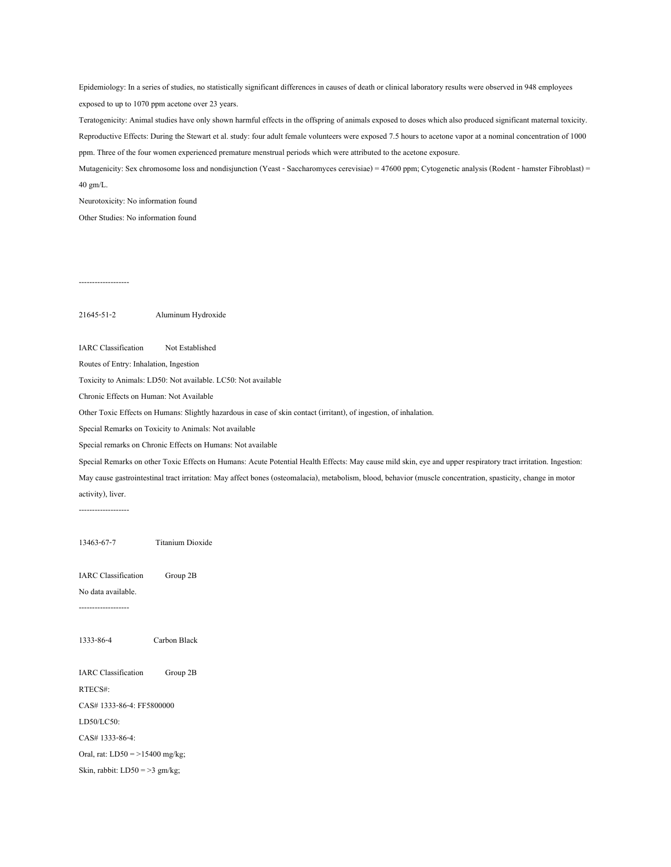Epidemiology: In a series of studies, no statistically significant differences in causes of death or clinical laboratory results were observed in 948 employees exposed to up to 1070 ppm acetone over 23 years.

Teratogenicity: Animal studies have only shown harmful effects in the offspring of animals exposed to doses which also produced significant maternal toxicity. Reproductive Effects: During the Stewart et al. study: four adult female volunteers were exposed 7.5 hours to acetone vapor at a nominal concentration of 1000 ppm. Three of the four women experienced premature menstrual periods which were attributed to the acetone exposure.

Mutagenicity: Sex chromosome loss and nondisjunction (Yeast - Saccharomyces cerevisiae) = 47600 ppm; Cytogenetic analysis (Rodent - hamster Fibroblast) = 40 gm/L.

Neurotoxicity: No information found

Other Studies: No information found

-------------------

21645-51-2 Aluminum Hydroxide

IARC Classification Not Established

Routes of Entry: Inhalation, Ingestion

Toxicity to Animals: LD50: Not available. LC50: Not available

Chronic Effects on Human: Not Available

Other Toxic Effects on Humans: Slightly hazardous in case of skin contact (irritant), of ingestion, of inhalation.

Special Remarks on Toxicity to Animals: Not available

Special remarks on Chronic Effects on Humans: Not available

Special Remarks on other Toxic Effects on Humans: Acute Potential Health Effects: May cause mild skin, eye and upper respiratory tract irritation. Ingestion:

May cause gastrointestinal tract irritation: May affect bones (osteomalacia), metabolism, blood, behavior (muscle concentration, spasticity, change in motor activity), liver.

-------------------

13463-67-7 Titanium Dioxide

IARC Classification Group 2B

No data available.

-------------------

1333-86-4 Carbon Black

IARC Classification Group 2B RTECS#:

CAS# 1333-86-4: FF5800000

LD50/LC50:

CAS# 1333-86-4:

Oral, rat: LD50 = >15400 mg/kg;

Skin, rabbit: LD50 = >3 gm/kg;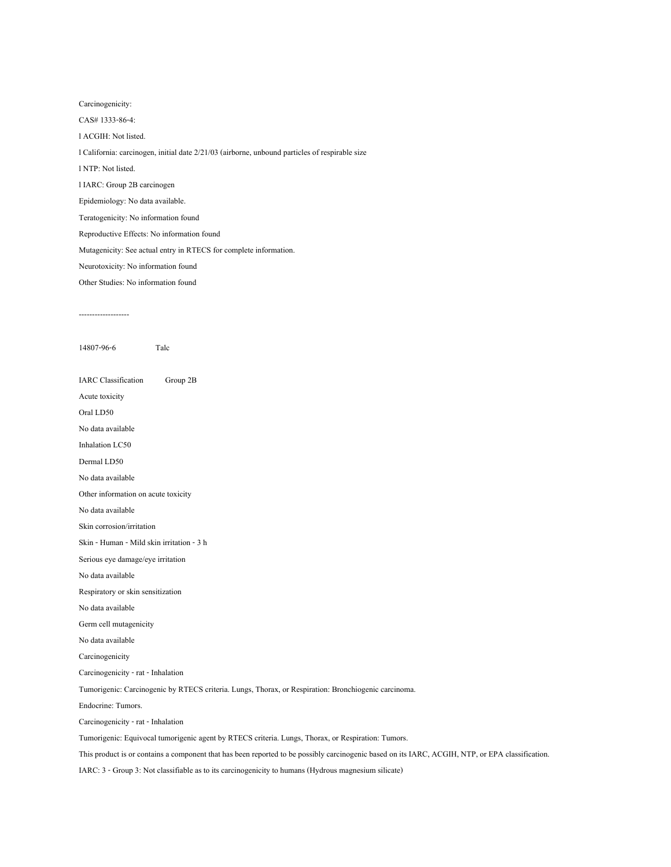Carcinogenicity:

CAS# 1333-86-4:

l ACGIH: Not listed.

l California: carcinogen, initial date 2/21/03 (airborne, unbound particles of respirable size

l NTP: Not listed.

l IARC: Group 2B carcinogen

Epidemiology: No data available.

Teratogenicity: No information found

Reproductive Effects: No information found

Mutagenicity: See actual entry in RTECS for complete information.

Neurotoxicity: No information found

Other Studies: No information found

-------------------

14807-96-6 Talc

IARC Classification Group 2B

Acute toxicity

Oral LD50

No data available

Inhalation LC50

Dermal LD50

No data available

Other information on acute toxicity

No data available

Skin corrosion/irritation

Skin - Human - Mild skin irritation - 3 h

Serious eye damage/eye irritation

No data available

Respiratory or skin sensitization

No data available

Germ cell mutagenicity

No data available

Carcinogenicity

Carcinogenicity - rat - Inhalation

Tumorigenic: Carcinogenic by RTECS criteria. Lungs, Thorax, or Respiration: Bronchiogenic carcinoma.

Endocrine: Tumors.

Carcinogenicity - rat - Inhalation

Tumorigenic: Equivocal tumorigenic agent by RTECS criteria. Lungs, Thorax, or Respiration: Tumors.

This product is or contains a component that has been reported to be possibly carcinogenic based on its IARC, ACGIH, NTP, or EPA classification.

IARC: 3 - Group 3: Not classifiable as to its carcinogenicity to humans (Hydrous magnesium silicate)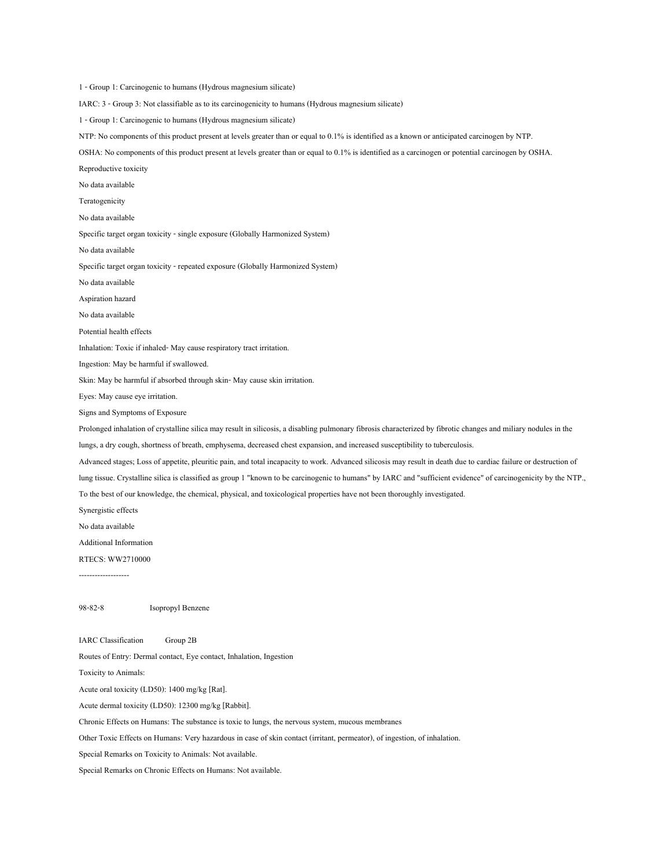1 - Group 1: Carcinogenic to humans (Hydrous magnesium silicate) IARC: 3 - Group 3: Not classifiable as to its carcinogenicity to humans (Hydrous magnesium silicate) 1 - Group 1: Carcinogenic to humans (Hydrous magnesium silicate) NTP: No components of this product present at levels greater than or equal to 0.1% is identified as a known or anticipated carcinogen by NTP. OSHA: No components of this product present at levels greater than or equal to 0.1% is identified as a carcinogen or potential carcinogen by OSHA. Reproductive toxicity No data available Teratogenicity No data available Specific target organ toxicity - single exposure (Globally Harmonized System) No data available Specific target organ toxicity - repeated exposure (Globally Harmonized System) No data available Aspiration hazard No data available Potential health effects Inhalation: Toxic if inhaled- May cause respiratory tract irritation. Ingestion: May be harmful if swallowed. Skin: May be harmful if absorbed through skin- May cause skin irritation. Eyes: May cause eye irritation. Signs and Symptoms of Exposure Prolonged inhalation of crystalline silica may result in silicosis, a disabling pulmonary fibrosis characterized by fibrotic changes and miliary nodules in the lungs, a dry cough, shortness of breath, emphysema, decreased chest expansion, and increased susceptibility to tuberculosis. Advanced stages; Loss of appetite, pleuritic pain, and total incapacity to work. Advanced silicosis may result in death due to cardiac failure or destruction of lung tissue. Crystalline silica is classified as group 1 "known to be carcinogenic to humans" by IARC and "sufficient evidence" of carcinogenicity by the NTP., To the best of our knowledge, the chemical, physical, and toxicological properties have not been thoroughly investigated. Synergistic effects No data available Additional Information RTECS: WW2710000 98-82-8 Isopropyl Benzene IARC Classification Group 2B Routes of Entry: Dermal contact, Eye contact, Inhalation, Ingestion Toxicity to Animals: Acute oral toxicity (LD50): 1400 mg/kg [Rat]. Acute dermal toxicity (LD50): 12300 mg/kg [Rabbit]. Chronic Effects on Humans: The substance is toxic to lungs, the nervous system, mucous membranes

Other Toxic Effects on Humans: Very hazardous in case of skin contact (irritant, permeator), of ingestion, of inhalation.

Special Remarks on Toxicity to Animals: Not available.

Special Remarks on Chronic Effects on Humans: Not available.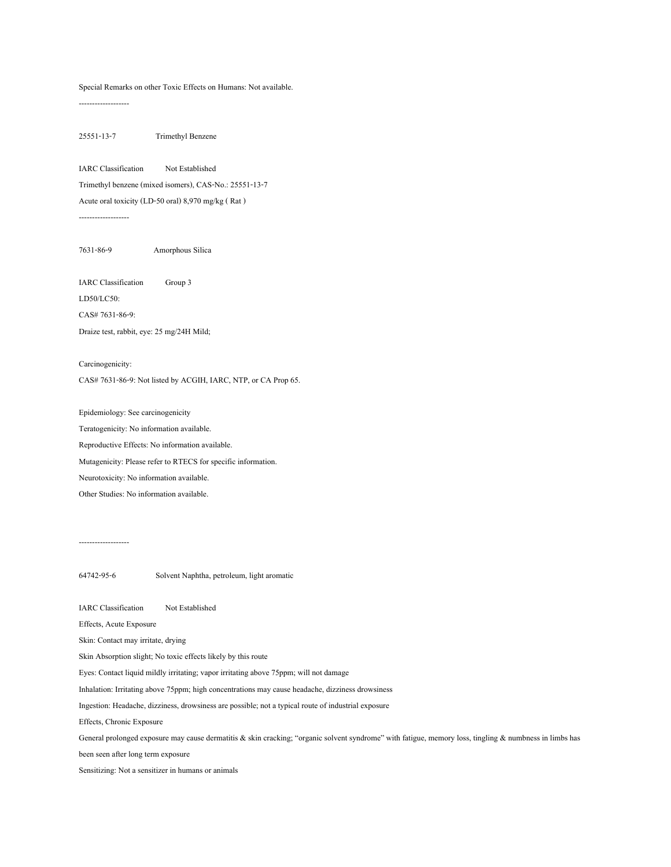#### Special Remarks on other Toxic Effects on Humans: Not available.

-------------------

25551-13-7 Trimethyl Benzene

IARC Classification Not Established Trimethyl benzene (mixed isomers), CAS-No.: 25551-13-7 Acute oral toxicity (LD-50 oral) 8,970 mg/kg ( Rat ) -------------------

7631-86-9 Amorphous Silica

IARC Classification Group 3

LD50/LC50:

CAS# 7631-86-9:

Draize test, rabbit, eye: 25 mg/24H Mild;

Carcinogenicity: CAS# 7631-86-9: Not listed by ACGIH, IARC, NTP, or CA Prop 65.

Epidemiology: See carcinogenicity Teratogenicity: No information available. Reproductive Effects: No information available. Mutagenicity: Please refer to RTECS for specific information. Neurotoxicity: No information available.

Other Studies: No information available.

# -------------------

64742-95-6 Solvent Naphtha, petroleum, light aromatic

IARC Classification Not Established

Effects, Acute Exposure

Skin: Contact may irritate, drying

Skin Absorption slight; No toxic effects likely by this route

Eyes: Contact liquid mildly irritating; vapor irritating above 75ppm; will not damage

Inhalation: Irritating above 75ppm; high concentrations may cause headache, dizziness drowsiness

Ingestion: Headache, dizziness, drowsiness are possible; not a typical route of industrial exposure

Effects, Chronic Exposure

General prolonged exposure may cause dermatitis & skin cracking; "organic solvent syndrome" with fatigue, memory loss, tingling & numbness in limbs has

been seen after long term exposure

Sensitizing: Not a sensitizer in humans or animals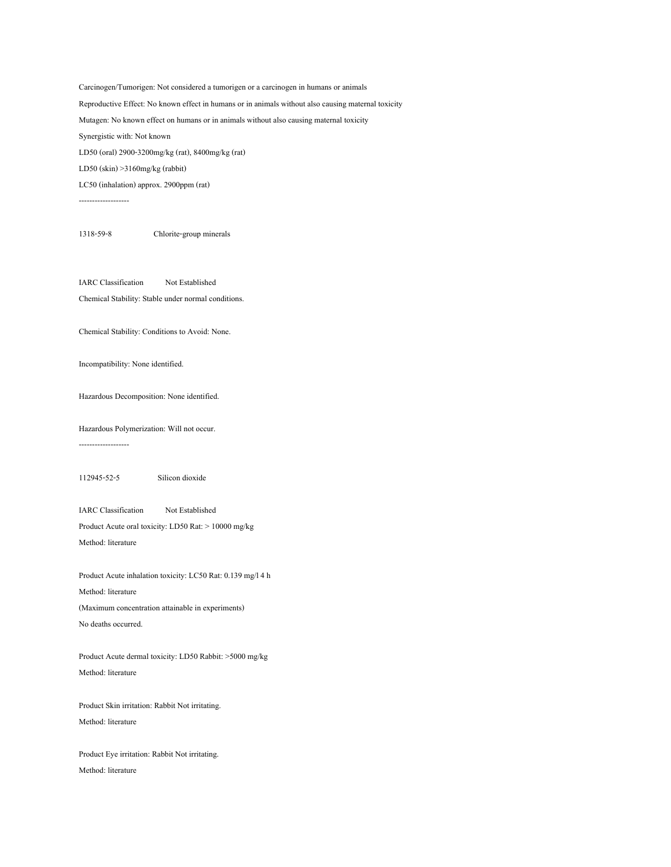Carcinogen/Tumorigen: Not considered a tumorigen or a carcinogen in humans or animals Reproductive Effect: No known effect in humans or in animals without also causing maternal toxicity Mutagen: No known effect on humans or in animals without also causing maternal toxicity Synergistic with: Not known LD50 (oral) 2900-3200mg/kg (rat), 8400mg/kg (rat) LD50 (skin) >3160mg/kg (rabbit) LC50 (inhalation) approx. 2900ppm (rat)

-------------------

1318-59-8 Chlorite-group minerals

IARC Classification Not Established Chemical Stability: Stable under normal conditions.

Chemical Stability: Conditions to Avoid: None.

Incompatibility: None identified.

Hazardous Decomposition: None identified.

Hazardous Polymerization: Will not occur.

-------------------

112945-52-5 Silicon dioxide

IARC Classification Not Established Product Acute oral toxicity: LD50 Rat: > 10000 mg/kg

Method: literature

Product Acute inhalation toxicity: LC50 Rat: 0.139 mg/l 4 h Method: literature (Maximum concentration attainable in experiments) No deaths occurred.

Product Acute dermal toxicity: LD50 Rabbit: >5000 mg/kg Method: literature

Product Skin irritation: Rabbit Not irritating. Method: literature

Product Eye irritation: Rabbit Not irritating. Method: literature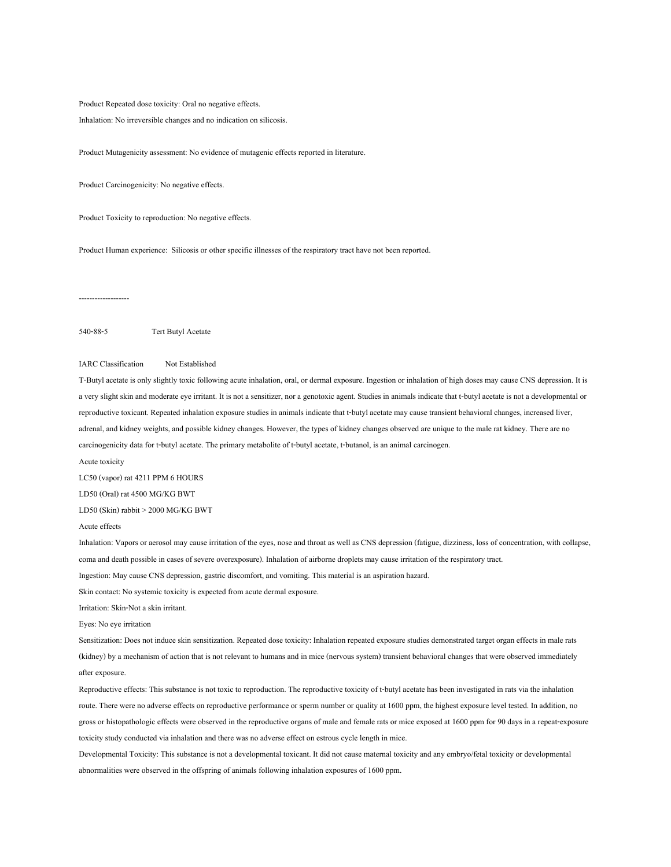Product Repeated dose toxicity: Oral no negative effects.

Inhalation: No irreversible changes and no indication on silicosis.

Product Mutagenicity assessment: No evidence of mutagenic effects reported in literature.

Product Carcinogenicity: No negative effects.

Product Toxicity to reproduction: No negative effects.

Product Human experience: Silicosis or other specific illnesses of the respiratory tract have not been reported.

-------------------

540-88-5 Tert Butyl Acetate

IARC Classification Not Established

T-Butyl acetate is only slightly toxic following acute inhalation, oral, or dermal exposure. Ingestion or inhalation of high doses may cause CNS depression. It is a very slight skin and moderate eye irritant. It is not a sensitizer, nor a genotoxic agent. Studies in animals indicate that t-butyl acetate is not a developmental or reproductive toxicant. Repeated inhalation exposure studies in animals indicate that t-butyl acetate may cause transient behavioral changes, increased liver, adrenal, and kidney weights, and possible kidney changes. However, the types of kidney changes observed are unique to the male rat kidney. There are no carcinogenicity data for t-butyl acetate. The primary metabolite of t-butyl acetate, t-butanol, is an animal carcinogen.

Acute toxicity

LC50 (vapor) rat 4211 PPM 6 HOURS

LD50 (Oral) rat 4500 MG/KG BWT

LD50 (Skin) rabbit > 2000 MG/KG BWT

#### Acute effects

Inhalation: Vapors or aerosol may cause irritation of the eyes, nose and throat as well as CNS depression (fatigue, dizziness, loss of concentration, with collapse, coma and death possible in cases of severe overexposure). Inhalation of airborne droplets may cause irritation of the respiratory tract.

Ingestion: May cause CNS depression, gastric discomfort, and vomiting. This material is an aspiration hazard.

Skin contact: No systemic toxicity is expected from acute dermal exposure.

Irritation: Skin-Not a skin irritant.

Eyes: No eye irritation

Sensitization: Does not induce skin sensitization. Repeated dose toxicity: Inhalation repeated exposure studies demonstrated target organ effects in male rats (kidney) by a mechanism of action that is not relevant to humans and in mice (nervous system) transient behavioral changes that were observed immediately after exposure.

Reproductive effects: This substance is not toxic to reproduction. The reproductive toxicity of t-butyl acetate has been investigated in rats via the inhalation route. There were no adverse effects on reproductive performance or sperm number or quality at 1600 ppm, the highest exposure level tested. In addition, no gross or histopathologic effects were observed in the reproductive organs of male and female rats or mice exposed at 1600 ppm for 90 days in a repeat-exposure toxicity study conducted via inhalation and there was no adverse effect on estrous cycle length in mice.

Developmental Toxicity: This substance is not a developmental toxicant. It did not cause maternal toxicity and any embryo/fetal toxicity or developmental abnormalities were observed in the offspring of animals following inhalation exposures of 1600 ppm.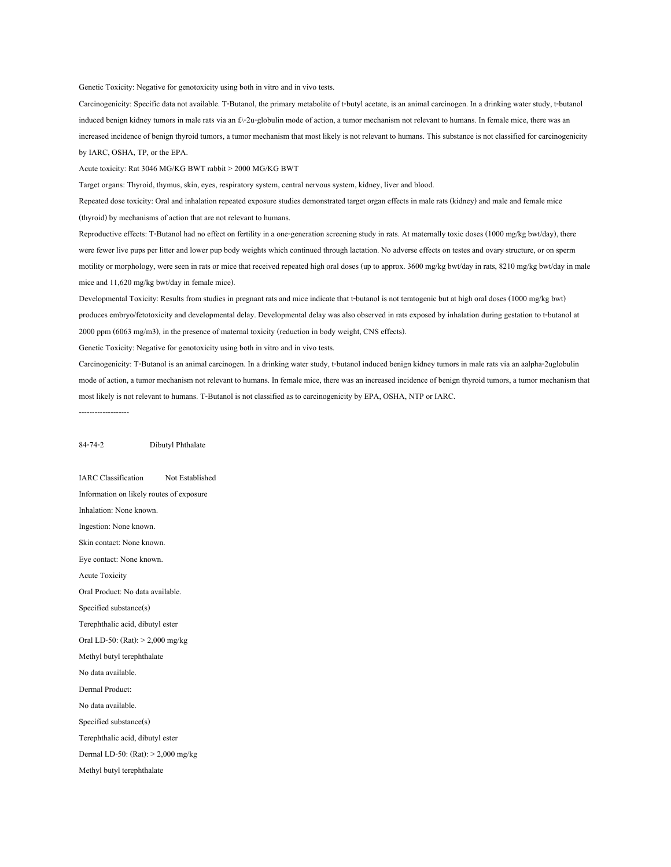Genetic Toxicity: Negative for genotoxicity using both in vitro and in vivo tests.

Carcinogenicity: Specific data not available. T-Butanol, the primary metabolite of t-butyl acetate, is an animal carcinogen. In a drinking water study, t-butanol induced benign kidney tumors in male rats via an £\-2u-globulin mode of action, a tumor mechanism not relevant to humans. In female mice, there was an increased incidence of benign thyroid tumors, a tumor mechanism that most likely is not relevant to humans. This substance is not classified for carcinogenicity by IARC, OSHA, TP, or the EPA.

Acute toxicity: Rat 3046 MG/KG BWT rabbit > 2000 MG/KG BWT

Target organs: Thyroid, thymus, skin, eyes, respiratory system, central nervous system, kidney, liver and blood.

Repeated dose toxicity: Oral and inhalation repeated exposure studies demonstrated target organ effects in male rats (kidney) and male and female mice (thyroid) by mechanisms of action that are not relevant to humans.

Reproductive effects: T-Butanol had no effect on fertility in a one-generation screening study in rats. At maternally toxic doses (1000 mg/kg bwt/day), there were fewer live pups per litter and lower pup body weights which continued through lactation. No adverse effects on testes and ovary structure, or on sperm motility or morphology, were seen in rats or mice that received repeated high oral doses (up to approx. 3600 mg/kg bwt/day in rats, 8210 mg/kg bwt/day in male mice and 11,620 mg/kg bwt/day in female mice).

Developmental Toxicity: Results from studies in pregnant rats and mice indicate that t-butanol is not teratogenic but at high oral doses (1000 mg/kg bwt) produces embryo/fetotoxicity and developmental delay. Developmental delay was also observed in rats exposed by inhalation during gestation to t-butanol at 2000 ppm (6063 mg/m3), in the presence of maternal toxicity (reduction in body weight, CNS effects).

Genetic Toxicity: Negative for genotoxicity using both in vitro and in vivo tests.

Carcinogenicity: T-Butanol is an animal carcinogen. In a drinking water study, t-butanol induced benign kidney tumors in male rats via an aalpha-2uglobulin mode of action, a tumor mechanism not relevant to humans. In female mice, there was an increased incidence of benign thyroid tumors, a tumor mechanism that most likely is not relevant to humans. T-Butanol is not classified as to carcinogenicity by EPA, OSHA, NTP or IARC.

-------------------

#### 84-74-2 Dibutyl Phthalate

IARC Classification Not Established Information on likely routes of exposure Inhalation: None known. Ingestion: None known. Skin contact: None known. Eye contact: None known. Acute Toxicity Oral Product: No data available. Specified substance(s) Terephthalic acid, dibutyl ester Oral LD-50: (Rat): > 2,000 mg/kg Methyl butyl terephthalate No data available. Dermal Product: No data available. Specified substance(s) Terephthalic acid, dibutyl ester Dermal LD-50: (Rat): > 2,000 mg/kg Methyl butyl terephthalate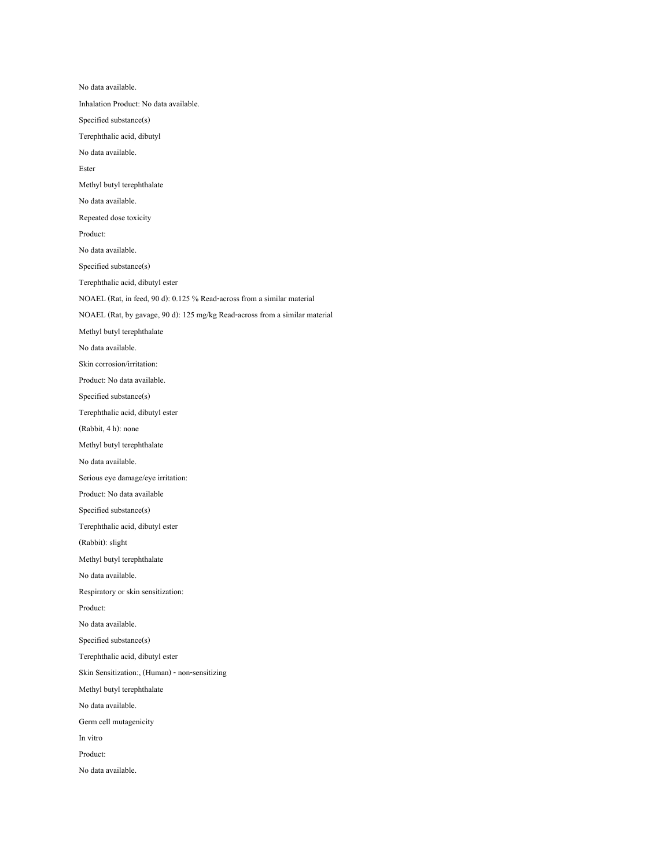No data available. Inhalation Product: No data available. Specified substance(s) Terephthalic acid, dibutyl No data available. Ester Methyl butyl terephthalate No data available. Repeated dose toxicity Product: No data available. Specified substance(s) Terephthalic acid, dibutyl ester NOAEL (Rat, in feed, 90 d): 0.125 % Read-across from a similar material NOAEL (Rat, by gavage, 90 d): 125 mg/kg Read-across from a similar material Methyl butyl terephthalate No data available. Skin corrosion/irritation: Product: No data available. Specified substance(s) Terephthalic acid, dibutyl ester (Rabbit, 4 h): none Methyl butyl terephthalate No data available. Serious eye damage/eye irritation: Product: No data available Specified substance(s) Terephthalic acid, dibutyl ester (Rabbit): slight Methyl butyl terephthalate No data available. Respiratory or skin sensitization: Product: No data available. Specified substance(s) Terephthalic acid, dibutyl ester Skin Sensitization:, (Human) - non-sensitizing Methyl butyl terephthalate No data available. Germ cell mutagenicity In vitro Product: No data available.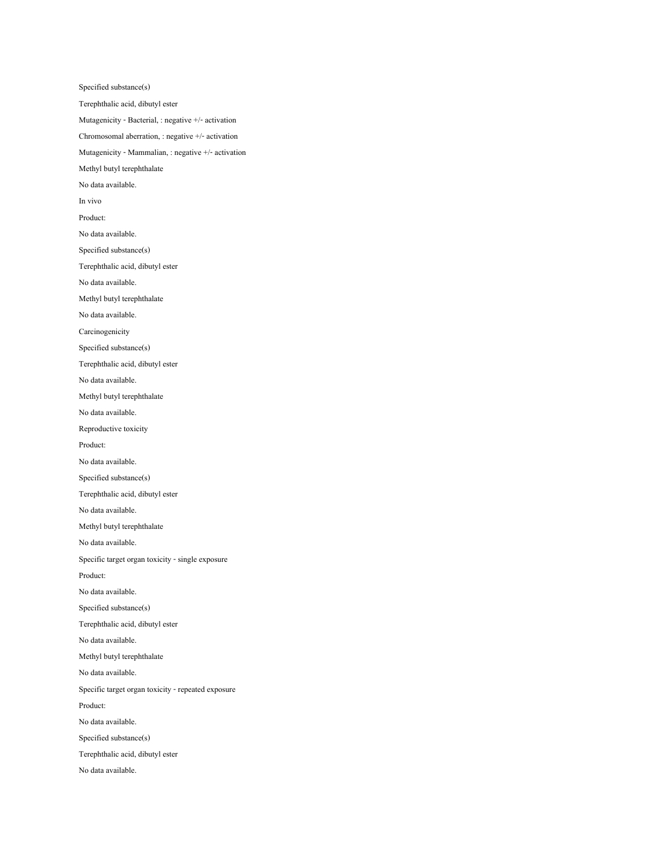Specified substance(s) Terephthalic acid, dibutyl ester Mutagenicity - Bacterial, : negative +/- activation Chromosomal aberration, : negative +/- activation Mutagenicity - Mammalian, : negative +/- activation Methyl butyl terephthalate No data available. In vivo Product: No data available. Specified substance(s) Terephthalic acid, dibutyl ester No data available. Methyl butyl terephthalate No data available. Carcinogenicity Specified substance(s) Terephthalic acid, dibutyl ester No data available. Methyl butyl terephthalate No data available. Reproductive toxicity Product: No data available. Specified substance(s) Terephthalic acid, dibutyl ester No data available. Methyl butyl terephthalate No data available. Specific target organ toxicity - single exposure Product: No data available. Specified substance(s) Terephthalic acid, dibutyl ester No data available. Methyl butyl terephthalate No data available. Specific target organ toxicity - repeated exposure Product: No data available. Specified substance(s) Terephthalic acid, dibutyl ester No data available.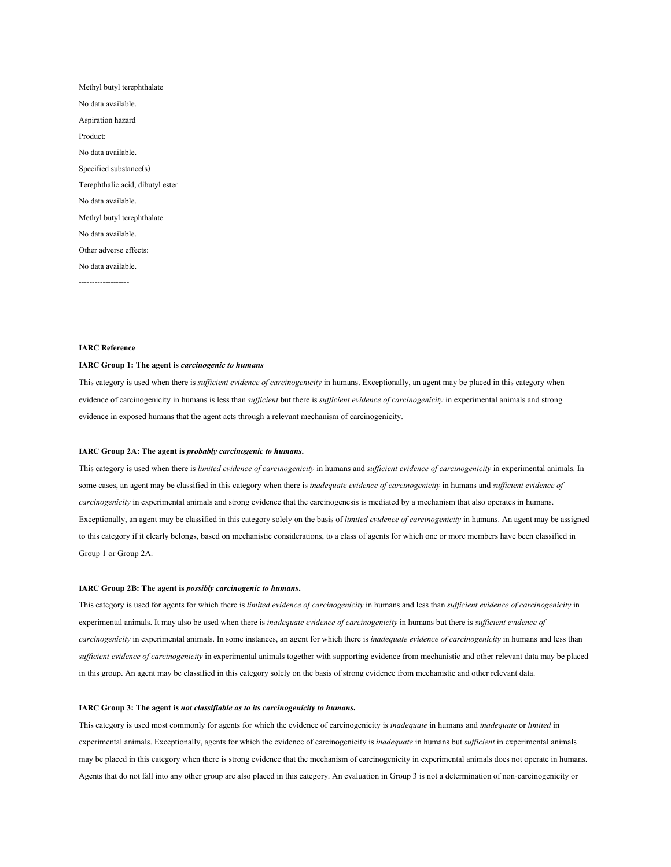| Methyl butyl terephthalate       |
|----------------------------------|
| No data available.               |
| Aspiration hazard                |
| Product:                         |
| No data available.               |
| Specified substance(s)           |
| Terephthalic acid, dibutyl ester |
| No data available.               |
| Methyl butyl terephthalate       |
| No data available.               |
| Other adverse effects:           |
| No data available.               |
|                                  |

#### **IARC Reference**

#### **IARC Group 1: The agent is** *carcinogenic to humans*

This category is used when there is *sufficient evidence of carcinogenicity* in humans. Exceptionally, an agent may be placed in this category when evidence of carcinogenicity in humans is less than *sufficient* but there is *sufficient evidence of carcinogenicity* in experimental animals and strong evidence in exposed humans that the agent acts through a relevant mechanism of carcinogenicity.

#### **IARC Group 2A: The agent is** *probably carcinogenic to humans***.**

This category is used when there is *limited evidence of carcinogenicity* in humans and *sufficient evidence of carcinogenicity* in experimental animals. In some cases, an agent may be classified in this category when there is *inadequate evidence of carcinogenicity* in humans and *sufficient evidence of carcinogenicity* in experimental animals and strong evidence that the carcinogenesis is mediated by a mechanism that also operates in humans. Exceptionally, an agent may be classified in this category solely on the basis of *limited evidence of carcinogenicity* in humans. An agent may be assigned to this category if it clearly belongs, based on mechanistic considerations, to a class of agents for which one or more members have been classified in Group 1 or Group 2A.

#### **IARC Group 2B: The agent is** *possibly carcinogenic to humans***.**

This category is used for agents for which there is *limited evidence of carcinogenicity* in humans and less than *sufficient evidence of carcinogenicity* in experimental animals. It may also be used when there is *inadequate evidence of carcinogenicity* in humans but there is *sufficient evidence of carcinogenicity* in experimental animals. In some instances, an agent for which there is *inadequate evidence of carcinogenicity* in humans and less than *sufficient evidence of carcinogenicity* in experimental animals together with supporting evidence from mechanistic and other relevant data may be placed in this group. An agent may be classified in this category solely on the basis of strong evidence from mechanistic and other relevant data.

#### **IARC Group 3: The agent is** *not classifiable as to its carcinogenicity to humans***.**

This category is used most commonly for agents for which the evidence of carcinogenicity is *inadequate* in humans and *inadequate* or *limited* in experimental animals. Exceptionally, agents for which the evidence of carcinogenicity is *inadequate* in humans but *sufficient* in experimental animals may be placed in this category when there is strong evidence that the mechanism of carcinogenicity in experimental animals does not operate in humans. Agents that do not fall into any other group are also placed in this category. An evaluation in Group 3 is not a determination of non-carcinogenicity or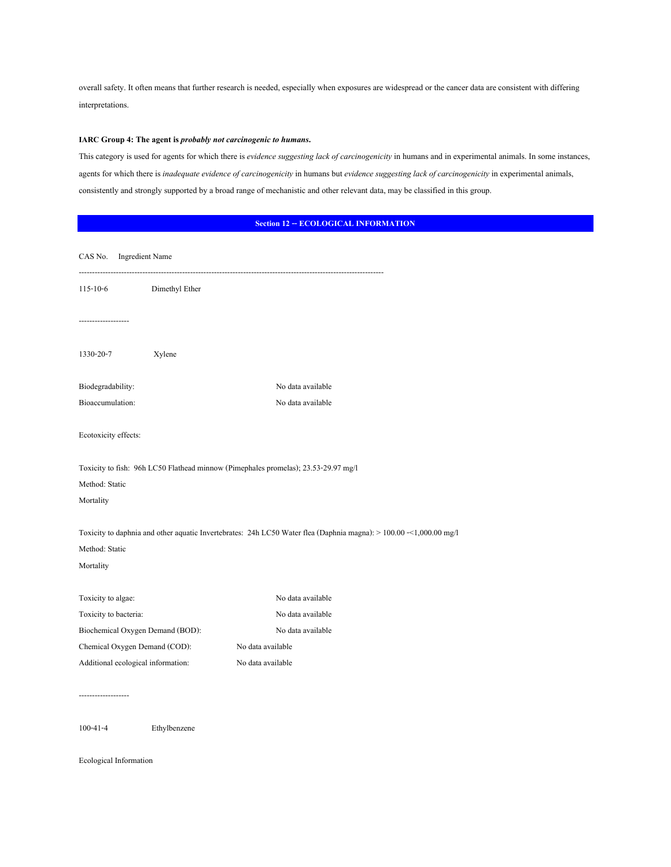overall safety. It often means that further research is needed, especially when exposures are widespread or the cancer data are consistent with differing interpretations.

# **IARC Group 4: The agent is** *probably not carcinogenic to humans***.**

This category is used for agents for which there is *evidence suggesting lack of carcinogenicity* in humans and in experimental animals. In some instances, agents for which there is *inadequate evidence of carcinogenicity* in humans but *evidence suggesting lack of carcinogenicity* in experimental animals, consistently and strongly supported by a broad range of mechanistic and other relevant data, may be classified in this group.

| <b>Section 12 -- ECOLOGICAL INFORMATION</b> |  |  |  |  |
|---------------------------------------------|--|--|--|--|
|---------------------------------------------|--|--|--|--|

| CAS No.<br><b>Ingredient Name</b>                                                                                                                 |                   |  |
|---------------------------------------------------------------------------------------------------------------------------------------------------|-------------------|--|
| $115 - 10 - 6$<br>Dimethyl Ether                                                                                                                  |                   |  |
| ----------------                                                                                                                                  |                   |  |
| 1330-20-7<br>Xylene                                                                                                                               |                   |  |
| Biodegradability:                                                                                                                                 | No data available |  |
| Bioaccumulation:                                                                                                                                  | No data available |  |
| Ecotoxicity effects:                                                                                                                              |                   |  |
| Toxicity to fish: 96h LC50 Flathead minnow (Pimephales promelas); 23.53-29.97 mg/l                                                                |                   |  |
| Method: Static                                                                                                                                    |                   |  |
| Mortality                                                                                                                                         |                   |  |
| Toxicity to daphnia and other aquatic Invertebrates: 24h LC50 Water flea (Daphnia magna): > 100.00 -<1,000.00 mg/l<br>Method: Static<br>Mortality |                   |  |
| Toxicity to algae:                                                                                                                                | No data available |  |
| Toxicity to bacteria:                                                                                                                             | No data available |  |
| Biochemical Oxygen Demand (BOD):                                                                                                                  | No data available |  |
| Chemical Oxygen Demand (COD):                                                                                                                     | No data available |  |
| Additional ecological information:                                                                                                                | No data available |  |
|                                                                                                                                                   |                   |  |

Ecological Information

100-41-4 Ethylbenzene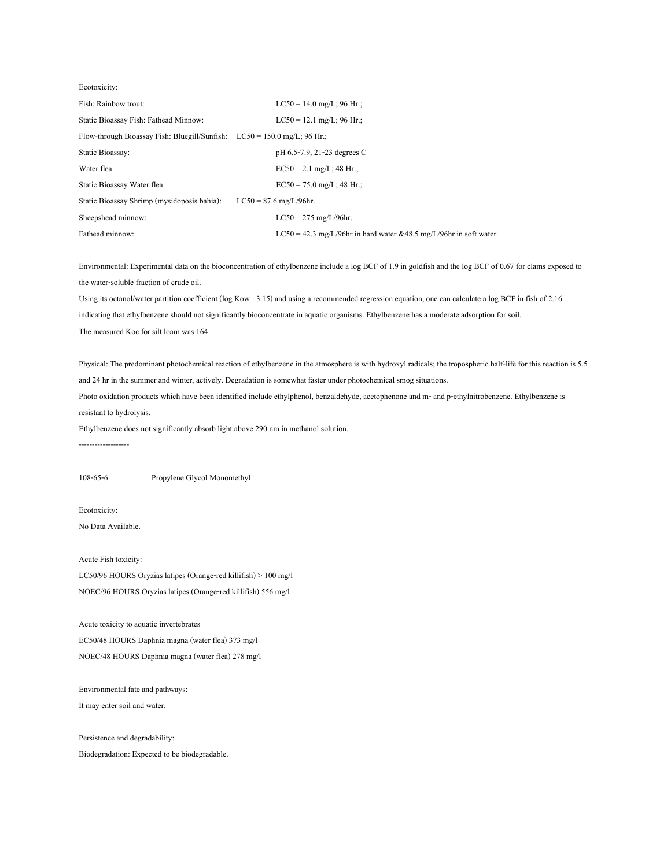| Ecotoxicity:                                                               |                                                                      |
|----------------------------------------------------------------------------|----------------------------------------------------------------------|
| Fish: Rainbow trout:                                                       | $LC50 = 14.0$ mg/L; 96 Hr.;                                          |
| Static Bioassay Fish: Fathead Minnow:                                      | $LC50 = 12.1$ mg/L; 96 Hr.;                                          |
| Flow-through Bioassay Fish: Bluegill/Sunfish: $LC50 = 150.0$ mg/L; 96 Hr.; |                                                                      |
| <b>Static Bioassay:</b>                                                    | pH 6.5-7.9, 21-23 degrees C                                          |
| Water flea:                                                                | $EC50 = 2.1$ mg/L; 48 Hr.;                                           |
| Static Bioassay Water flea:                                                | $EC50 = 75.0$ mg/L; 48 Hr.;                                          |
| Static Bioassay Shrimp (mysidoposis bahia):                                | $LC50 = 87.6$ mg/L/96hr.                                             |
| Sheepshead minnow:                                                         | $LC50 = 275$ mg/L/96hr.                                              |
| Fathead minnow:                                                            | $LC50 = 42.3$ mg/L/96hr in hard water &48.5 mg/L/96hr in soft water. |

Environmental: Experimental data on the bioconcentration of ethylbenzene include a log BCF of 1.9 in goldfish and the log BCF of 0.67 for clams exposed to the water-soluble fraction of crude oil.

Using its octanol/water partition coefficient (log Kow= 3.15) and using a recommended regression equation, one can calculate a log BCF in fish of 2.16 indicating that ethylbenzene should not significantly bioconcentrate in aquatic organisms. Ethylbenzene has a moderate adsorption for soil. The measured Koc for silt loam was 164

Physical: The predominant photochemical reaction of ethylbenzene in the atmosphere is with hydroxyl radicals; the tropospheric half-life for this reaction is 5.5 and 24 hr in the summer and winter, actively. Degradation is somewhat faster under photochemical smog situations.

Photo oxidation products which have been identified include ethylphenol, benzaldehyde, acetophenone and m- and p-ethylnitrobenzene. Ethylbenzene is resistant to hydrolysis.

Ethylbenzene does not significantly absorb light above 290 nm in methanol solution.

-------------------

108-65-6 Propylene Glycol Monomethyl

Ecotoxicity:

No Data Available.

Acute Fish toxicity: LC50/96 HOURS Oryzias latipes (Orange-red killifish) > 100 mg/l NOEC/96 HOURS Oryzias latipes (Orange-red killifish) 556 mg/l

Acute toxicity to aquatic invertebrates EC50/48 HOURS Daphnia magna (water flea) 373 mg/l NOEC/48 HOURS Daphnia magna (water flea) 278 mg/l

Environmental fate and pathways:

It may enter soil and water.

Persistence and degradability: Biodegradation: Expected to be biodegradable.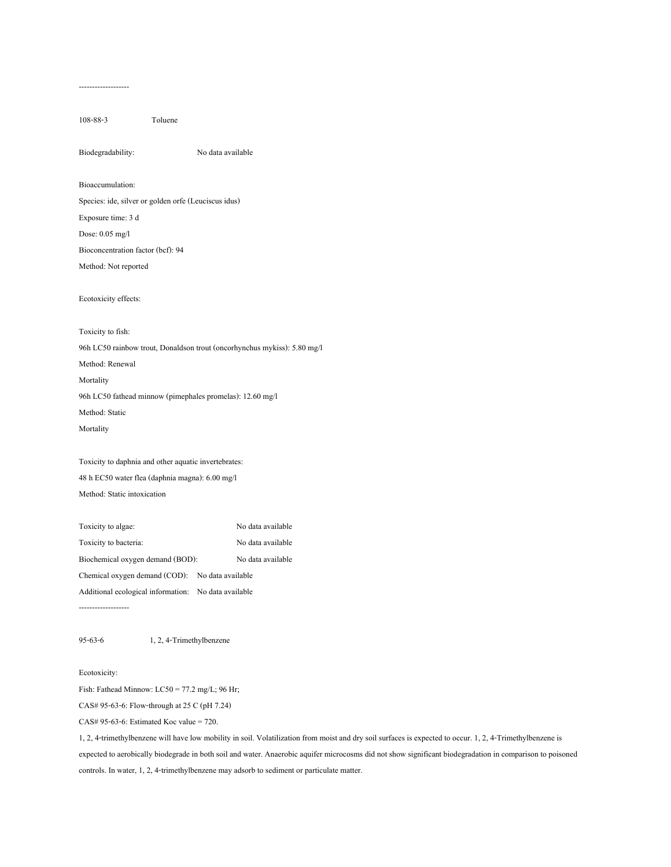------------------- 108-88-3 Toluene Biodegradability: No data available Bioaccumulation: Species: ide, silver or golden orfe (Leuciscus idus) Exposure time: 3 d

Dose: 0.05 mg/l

Bioconcentration factor (bcf): 94

Method: Not reported

Ecotoxicity effects:

Toxicity to fish: 96h LC50 rainbow trout, Donaldson trout (oncorhynchus mykiss): 5.80 mg/l Method: Renewal Mortality 96h LC50 fathead minnow (pimephales promelas): 12.60 mg/l Method: Static Mortality

Toxicity to daphnia and other aquatic invertebrates: 48 h EC50 water flea (daphnia magna): 6.00 mg/l Method: Static intoxication

Toxicity to algae: No data available Toxicity to bacteria: No data available Biochemical oxygen demand (BOD): No data available Chemical oxygen demand (COD): No data available Additional ecological information: No data available -------------------

95-63-6 1, 2, 4-Trimethylbenzene

Ecotoxicity:

Fish: Fathead Minnow: LC50 = 77.2 mg/L; 96 Hr;

CAS# 95-63-6: Flow-through at 25 C (pH 7.24)

CAS# 95-63-6: Estimated Koc value = 720.

1, 2, 4-trimethylbenzene will have low mobility in soil. Volatilization from moist and dry soil surfaces is expected to occur. 1, 2, 4-Trimethylbenzene is expected to aerobically biodegrade in both soil and water. Anaerobic aquifer microcosms did not show significant biodegradation in comparison to poisoned controls. In water, 1, 2, 4-trimethylbenzene may adsorb to sediment or particulate matter.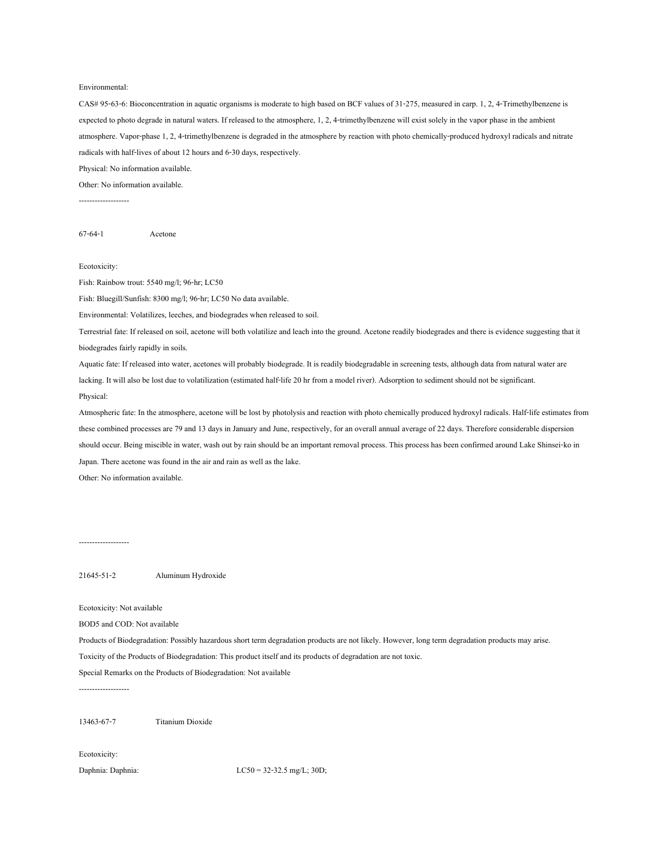#### Environmental:

CAS# 95-63-6: Bioconcentration in aquatic organisms is moderate to high based on BCF values of 31-275, measured in carp. 1, 2, 4-Trimethylbenzene is expected to photo degrade in natural waters. If released to the atmosphere, 1, 2, 4-trimethylbenzene will exist solely in the vapor phase in the ambient atmosphere. Vapor-phase 1, 2, 4-trimethylbenzene is degraded in the atmosphere by reaction with photo chemically-produced hydroxyl radicals and nitrate radicals with half-lives of about 12 hours and 6-30 days, respectively.

Physical: No information available.

Other: No information available.

-------------------

67-64-1 Acetone

#### Ecotoxicity:

Fish: Rainbow trout: 5540 mg/l; 96-hr; LC50

Fish: Bluegill/Sunfish: 8300 mg/l; 96-hr; LC50 No data available.

Environmental: Volatilizes, leeches, and biodegrades when released to soil.

Terrestrial fate: If released on soil, acetone will both volatilize and leach into the ground. Acetone readily biodegrades and there is evidence suggesting that it biodegrades fairly rapidly in soils.

Aquatic fate: If released into water, acetones will probably biodegrade. It is readily biodegradable in screening tests, although data from natural water are lacking. It will also be lost due to volatilization (estimated half-life 20 hr from a model river). Adsorption to sediment should not be significant. Physical:

Atmospheric fate: In the atmosphere, acetone will be lost by photolysis and reaction with photo chemically produced hydroxyl radicals. Half-life estimates from these combined processes are 79 and 13 days in January and June, respectively, for an overall annual average of 22 days. Therefore considerable dispersion should occur. Being miscible in water, wash out by rain should be an important removal process. This process has been confirmed around Lake Shinsei-ko in Japan. There acetone was found in the air and rain as well as the lake.

Other: No information available.

# -------------------

21645-51-2 Aluminum Hydroxide

Ecotoxicity: Not available

BOD5 and COD: Not available

Products of Biodegradation: Possibly hazardous short term degradation products are not likely. However, long term degradation products may arise.

Toxicity of the Products of Biodegradation: This product itself and its products of degradation are not toxic.

Special Remarks on the Products of Biodegradation: Not available

-------------------

13463-67-7 Titanium Dioxide

Ecotoxicity:

Daphnia: Daphnia: LC50 = 32-32.5 mg/L; 30D;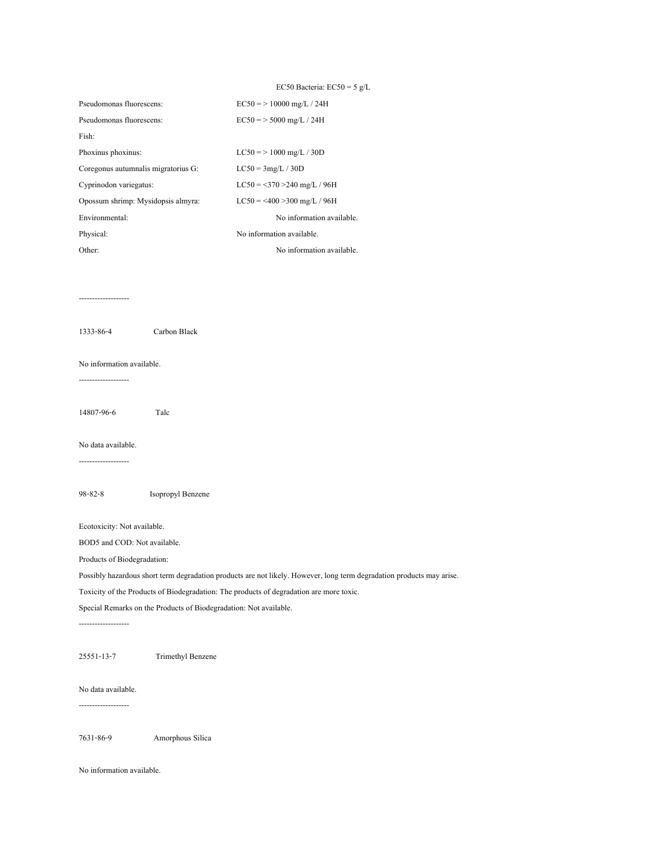# EC50 Bacteria:  $EC50 = 5 g/L$ Pseudomonas fluorescens: EC50 = > 10000 mg/L / 24H Pseudomonas fluorescens: EC50 = > 5000 mg/L / 24H Fish: Phoxinus phoxinus:  $LC50 = > 1000$  mg/L / 30D Coregonus autumnalis migratorius G: LC50 = 3mg/L / 30D Cyprinodon variegatus: LC50 = <370 >240 mg/L / 96H Opossum shrimp: Mysidopsis almyra: LC50 = <400 >300 mg/L / 96H Environmental: No information available. Physical: No information available. Other: No information available.

-------------------

1333-86-4 Carbon Black

#### No information available.

-------------------

14807-96-6 Talc

### No data available.

-------------------

98-82-8 Isopropyl Benzene

Ecotoxicity: Not available.

BOD5 and COD: Not available.

Products of Biodegradation:

Possibly hazardous short term degradation products are not likely. However, long term degradation products may arise.

Toxicity of the Products of Biodegradation: The products of degradation are more toxic.

Special Remarks on the Products of Biodegradation: Not available.

-------------------

25551-13-7 Trimethyl Benzene

No data available. -------------------

7631-86-9 Amorphous Silica

No information available.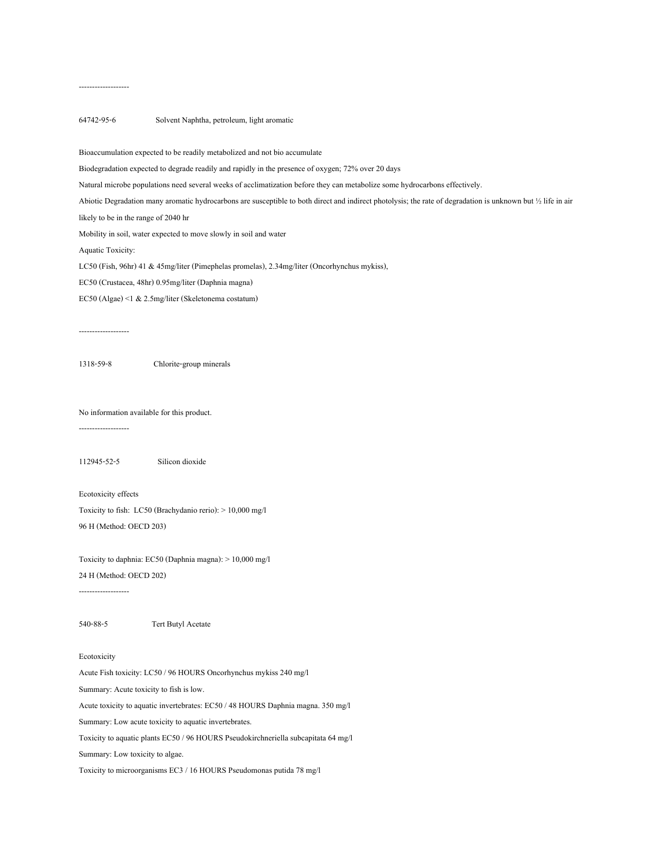# -------------------

# 64742-95-6 Solvent Naphtha, petroleum, light aromatic

Bioaccumulation expected to be readily metabolized and not bio accumulate

Biodegradation expected to degrade readily and rapidly in the presence of oxygen; 72% over 20 days

Natural microbe populations need several weeks of acclimatization before they can metabolize some hydrocarbons effectively.

Abiotic Degradation many aromatic hydrocarbons are susceptible to both direct and indirect photolysis; the rate of degradation is unknown but ½ life in air

likely to be in the range of 2040 hr

Mobility in soil, water expected to move slowly in soil and water

Aquatic Toxicity:

LC50 (Fish, 96hr) 41 & 45mg/liter (Pimephelas promelas), 2.34mg/liter (Oncorhynchus mykiss),

EC50 (Crustacea, 48hr) 0.95mg/liter (Daphnia magna)

EC50 (Algae) <1 & 2.5mg/liter (Skeletonema costatum)

1318-59-8 Chlorite-group minerals

No information available for this product.

-------------------

112945-52-5 Silicon dioxide

Ecotoxicity effects

Toxicity to fish: LC50 (Brachydanio rerio): > 10,000 mg/l 96 H (Method: OECD 203)

Toxicity to daphnia: EC50 (Daphnia magna): > 10,000 mg/l 24 H (Method: OECD 202)

540-88-5 Tert Butyl Acetate

#### Ecotoxicity

-------------------

Acute Fish toxicity: LC50 / 96 HOURS Oncorhynchus mykiss 240 mg/l

Summary: Acute toxicity to fish is low.

Acute toxicity to aquatic invertebrates: EC50 / 48 HOURS Daphnia magna. 350 mg/l

Summary: Low acute toxicity to aquatic invertebrates.

Toxicity to aquatic plants EC50 / 96 HOURS Pseudokirchneriella subcapitata 64 mg/l

Summary: Low toxicity to algae.

Toxicity to microorganisms EC3 / 16 HOURS Pseudomonas putida 78 mg/l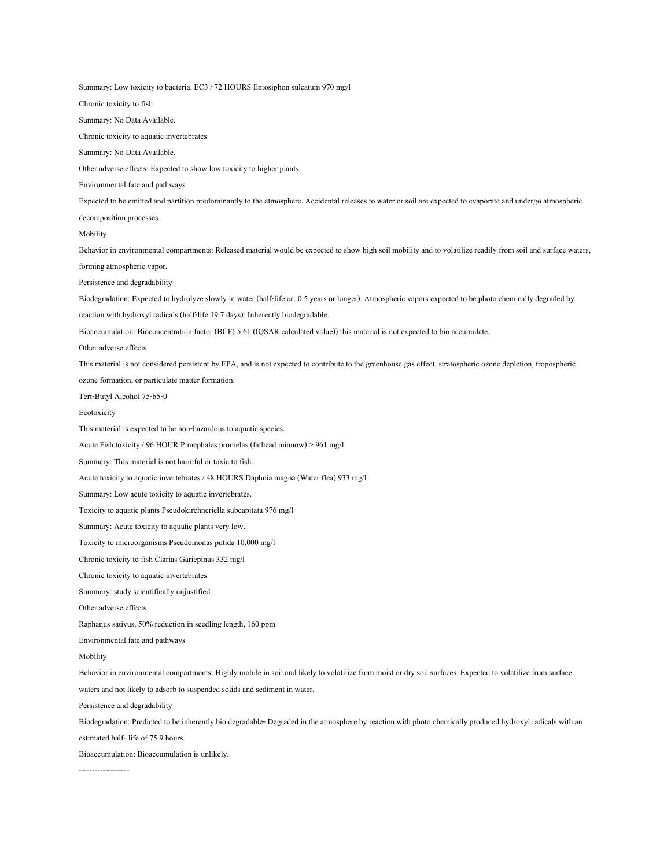Summary: Low toxicity to bacteria. EC3 / 72 HOURS Entosiphon sulcatum 970 mg/l Chronic toxicity to fish Summary: No Data Available. Chronic toxicity to aquatic invertebrates Summary: No Data Available. Other adverse effects: Expected to show low toxicity to higher plants. Environmental fate and pathways Expected to be emitted and partition predominantly to the atmosphere. Accidental releases to water or soil are expected to evaporate and undergo atmospheric decomposition processes. Mobility Behavior in environmental compartments: Released material would be expected to show high soil mobility and to volatilize readily from soil and surface waters, forming atmospheric vapor. Persistence and degradability Biodegradation: Expected to hydrolyze slowly in water (half-life ca. 0.5 years or longer). Atmospheric vapors expected to be photo chemically degraded by reaction with hydroxyl radicals (half-life 19.7 days): Inherently biodegradable. Bioaccumulation: Bioconcentration factor (BCF) 5.61 ((QSAR calculated value)) this material is not expected to bio accumulate. Other adverse effects This material is not considered persistent by EPA, and is not expected to contribute to the greenhouse gas effect, stratospheric ozone depletion, tropospheric ozone formation, or particulate matter formation. Tert-Butyl Alcohol 75-65-0 Ecotoxicity This material is expected to be non-hazardous to aquatic species. Acute Fish toxicity / 96 HOUR Pimephales promelas (fathead minnow) > 961 mg/l Summary: This material is not harmful or toxic to fish. Acute toxicity to aquatic invertebrates / 48 HOURS Daphnia magna (Water flea) 933 mg/l Summary: Low acute toxicity to aquatic invertebrates. Toxicity to aquatic plants Pseudokirchneriella subcapitata 976 mg/l Summary: Acute toxicity to aquatic plants very low. Toxicity to microorganisms Pseudomonas putida 10,000 mg/l Chronic toxicity to fish Clarias Gariepinus 332 mg/l Chronic toxicity to aquatic invertebrates Summary: study scientifically unjustified Other adverse effects Raphanus sativus, 50% reduction in seedling length, 160 ppm Environmental fate and pathways Mobility Behavior in environmental compartments: Highly mobile in soil and likely to volatilize from moist or dry soil surfaces. Expected to volatilize from surface waters and not likely to adsorb to suspended solids and sediment in water. Persistence and degradability Biodegradation: Predicted to be inherently bio degradable- Degraded in the atmosphere by reaction with photo chemically produced hydroxyl radicals with an estimated half- life of 75.9 hours.

Bioaccumulation: Bioaccumulation is unlikely.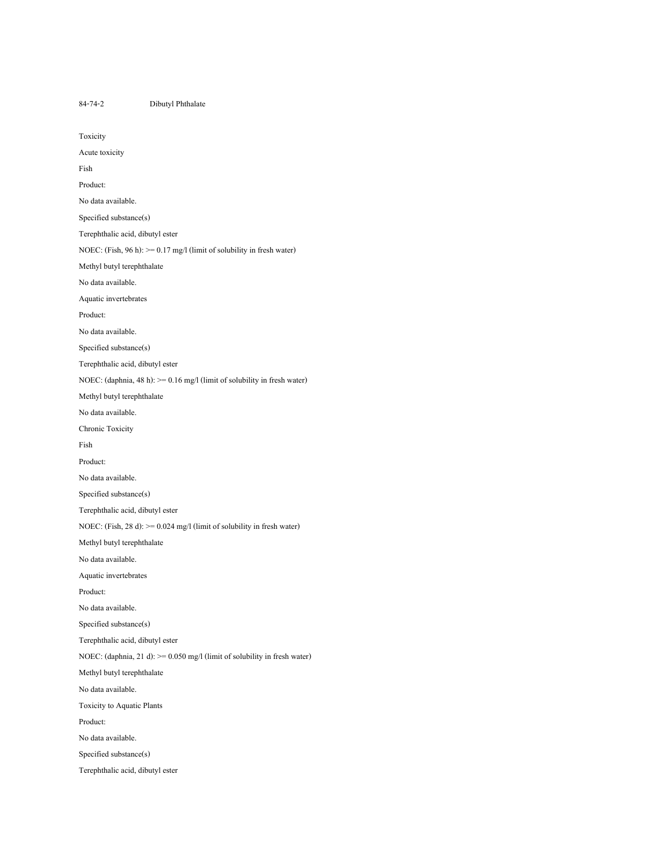84-74-2 Dibutyl Phthalate Toxicity Acute toxicity Fish Product: No data available. Specified substance(s) Terephthalic acid, dibutyl ester NOEC: (Fish, 96 h): >= 0.17 mg/l (limit of solubility in fresh water) Methyl butyl terephthalate No data available. Aquatic invertebrates Product: No data available. Specified substance(s) Terephthalic acid, dibutyl ester NOEC: (daphnia, 48 h):  $>= 0.16$  mg/l (limit of solubility in fresh water) Methyl butyl terephthalate No data available. Chronic Toxicity Fish Product: No data available. Specified substance(s) Terephthalic acid, dibutyl ester NOEC: (Fish, 28 d): >= 0.024 mg/l (limit of solubility in fresh water) Methyl butyl terephthalate No data available. Aquatic invertebrates Product: No data available. Specified substance(s) Terephthalic acid, dibutyl ester NOEC: (daphnia, 21 d): >= 0.050 mg/l (limit of solubility in fresh water) Methyl butyl terephthalate No data available. Toxicity to Aquatic Plants Product: No data available. Specified substance(s) Terephthalic acid, dibutyl ester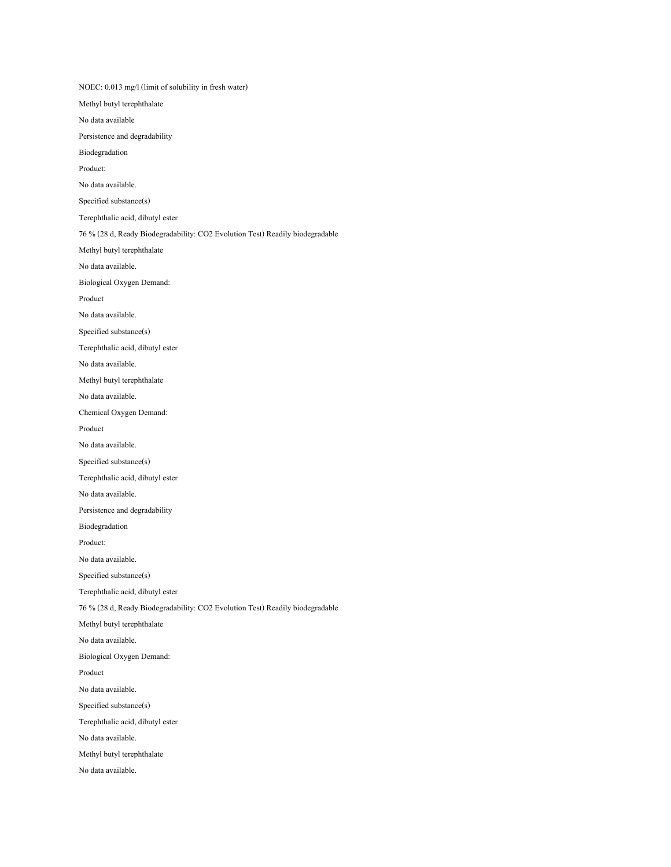NOEC: 0.013 mg/l (limit of solubility in fresh water) Methyl butyl terephthalate No data available Persistence and degradability Biodegradation Product: No data available. Specified substance(s) Terephthalic acid, dibutyl ester 76 % (28 d, Ready Biodegradability: CO2 Evolution Test) Readily biodegradable Methyl butyl terephthalate No data available. Biological Oxygen Demand: Product No data available. Specified substance(s) Terephthalic acid, dibutyl ester No data available. Methyl butyl terephthalate No data available. Chemical Oxygen Demand: Product No data available. Specified substance(s) Terephthalic acid, dibutyl ester No data available. Persistence and degradability Biodegradation Product: No data available. Specified substance(s) Terephthalic acid, dibutyl ester 76 % (28 d, Ready Biodegradability: CO2 Evolution Test) Readily biodegradable Methyl butyl terephthalate No data available. Biological Oxygen Demand: Product No data available. Specified substance(s) Terephthalic acid, dibutyl ester No data available. Methyl butyl terephthalate No data available.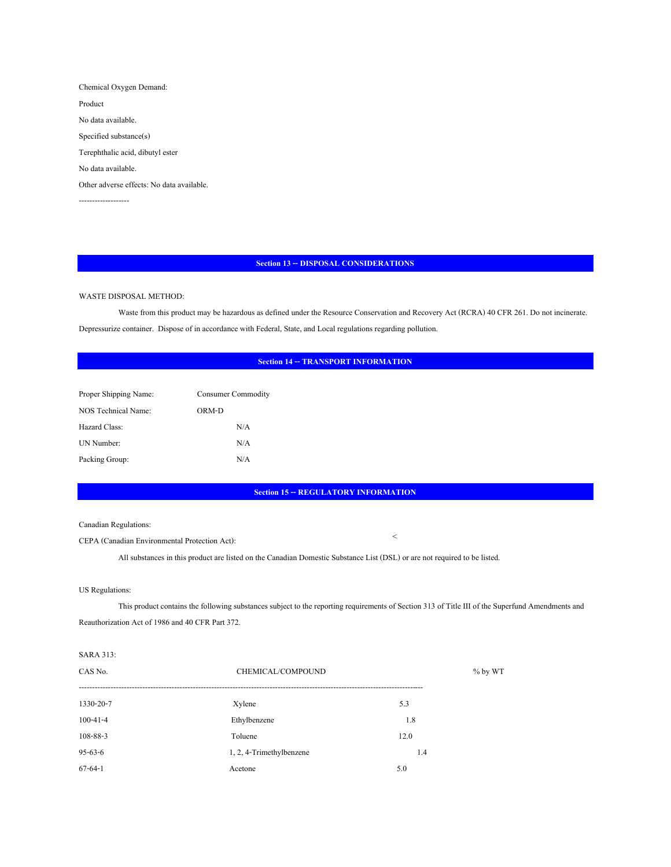Chemical Oxygen Demand: Product No data available. Specified substance(s) Terephthalic acid, dibutyl ester No data available. Other adverse effects: No data available. -------------------

#### **Section 13 -- DISPOSAL CONSIDERATIONS**

# WASTE DISPOSAL METHOD:

 Waste from this product may be hazardous as defined under the Resource Conservation and Recovery Act (RCRA) 40 CFR 261. Do not incinerate. Depressurize container. Dispose of in accordance with Federal, State, and Local regulations regarding pollution.

# **Section 14 -- TRANSPORT INFORMATION**

| Proper Shipping Name: | Consumer Commodity |  |
|-----------------------|--------------------|--|
| NOS Technical Name:   | ORM-D              |  |
| <b>Hazard Class:</b>  | N/A                |  |
| UN Number:            | N/A                |  |
| Packing Group:        | N/A                |  |

# **Section 15 -- REGULATORY INFORMATION**

 $\,<$ 

Canadian Regulations:

CEPA (Canadian Environmental Protection Act):

All substances in this product are listed on the Canadian Domestic Substance List (DSL) or are not required to be listed.

# US Regulations:

This product contains the following substances subject to the reporting requirements of Section 313 of Title III of the Superfund Amendments and Reauthorization Act of 1986 and 40 CFR Part 372.

### SARA 313:

| CAS No.         | CHEMICAL/COMPOUND        | $%$ by WT |
|-----------------|--------------------------|-----------|
| $1330 - 20 - 7$ | Xylene                   | 5.3       |
| $100 - 41 - 4$  | Ethylbenzene             | 1.8       |
| 108-88-3        | Toluene                  | 12.0      |
| $95 - 63 - 6$   | 1, 2, 4-Trimethylbenzene | 1.4       |
| $67 - 64 - 1$   | Acetone                  | 5.0       |